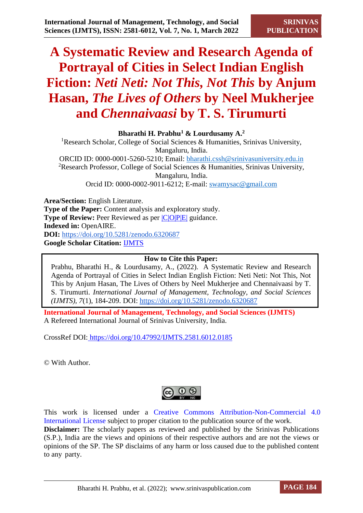# **A Systematic Review and Research Agenda of Portrayal of Cities in Select Indian English Fiction:** *Neti Neti: Not This, Not This* **by Anjum Hasan,** *The Lives of Others* **by Neel Mukherjee and** *Chennaivaasi* **by T. S. Tirumurti**

**Bharathi H. Prabhu<sup>1</sup> & Lourdusamy A.<sup>2</sup>**

<sup>1</sup>Research Scholar, College of Social Sciences & Humanities, Srinivas University, Mangaluru, India. ORCID ID: 0000-0001-5260-5210; Email: [bharathi.cssh@srinivasuniversity.edu.in](mailto:bharathi.cssh@srinivasuniversity.edu.in) <sup>2</sup>Research Professor, College of Social Sciences & Humanities, Srinivas University,

Mangaluru, India. Orcid ID: 0000-0002-9011-6212; E-mail: [swamysac@gmail.com](mailto:swamysac@gmail.com)

**Area/Section:** English Literature. **Type of the Paper:** Content analysis and exploratory study. **Type of Review:** Peer Reviewed as per  $|C|O||P|E|$  guidance. **Indexed in:** OpenAIRE. **DOI:** <https://doi.org/10.5281/zenodo.6320687> **Google Scholar Citation:** [IJMTS](https://scholar.google.com/citations?user=bphF0BQAAAAJ)

#### **How to Cite this Paper:**

Prabhu, Bharathi H., & Lourdusamy, A., (2022). A Systematic Review and Research Agenda of Portrayal of Cities in Select Indian English Fiction: Neti Neti: Not This, Not This by Anjum Hasan, The Lives of Others by Neel Mukherjee and Chennaivaasi by T. S. Tirumurti. *International Journal of Management, Technology, and Social Sciences (IJMTS), 7*(1), 184-209. DOI:<https://doi.org/10.5281/zenodo.6320687>

**International Journal of Management, Technology, and Social Sciences (IJMTS)** A Refereed International Journal of Srinivas University, India.

CrossRef DOI: [https://doi.org/10.47992/IJMTS.2581.6012.0185](https://search.crossref.org/?q=10.47992%2FIJMTS.2581.6012.0185&from_ui=yes)

© With Author.

This work is licensed under a Creative Commons Attribution-Non-Commercial 4.0 International License subject to proper citation to the publication source of the work. **Disclaimer:** The scholarly papers as reviewed and published by the Srinivas Publications (S.P.), India are the views and opinions of their respective authors and are not the views or opinions of the SP. The SP disclaims of any harm or loss caused due to the published content to any party.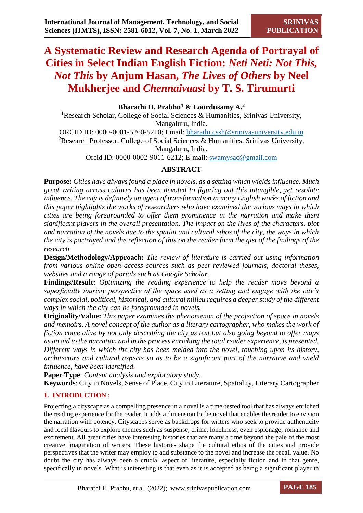# **A Systematic Review and Research Agenda of Portrayal of Cities in Select Indian English Fiction:** *Neti Neti: Not This, Not This* **by Anjum Hasan,** *The Lives of Others* **by Neel Mukherjee and** *Chennaivaasi* **by T. S. Tirumurti**

## **Bharathi H. Prabhu<sup>1</sup> & Lourdusamy A.<sup>2</sup>**

<sup>1</sup>Research Scholar, College of Social Sciences & Humanities, Srinivas University, Mangaluru, India.

ORCID ID: 0000-0001-5260-5210; Email: [bharathi.cssh@srinivasuniversity.edu.in](mailto:bharathi.cssh@srinivasuniversity.edu.in) <sup>2</sup>Research Professor, College of Social Sciences & Humanities, Srinivas University, Mangaluru, India.

Orcid ID: 0000-0002-9011-6212; E-mail: [swamysac@gmail.com](mailto:swamysac@gmail.com)

# **ABSTRACT**

**Purpose:** *Cities have always found a place in novels, as a setting which wields influence. Much great writing across cultures has been devoted to figuring out this intangible, yet resolute influence. The city is definitely an agent of transformation in many English works of fiction and this paper highlights the works of researchers who have examined the various ways in which cities are being foregrounded to offer them prominence in the narration and make them significant players in the overall presentation. The impact on the lives of the characters, plot and narration of the novels due to the spatial and cultural ethos of the city, the ways in which the city is portrayed and the reflection of this on the reader form the gist of the findings of the research*

**Design/Methodology/Approach:** *The review of literature is carried out using information from various online open access sources such as peer-reviewed journals, doctoral theses, websites and a range of portals such as Google Scholar.*

**Findings/Result:** *Optimizing the reading experience to help the reader move beyond a superficially touristy perspective of the space used as a setting and engage with the city's complex social, political, historical, and cultural milieu requires a deeper study of the different ways in which the city can be foregrounded in novels.* 

**Originality/Value:** *This paper examines the phenomenon of the projection of space in novels and memoirs. A novel concept of the author as a literary cartographer, who makes the work of fiction come alive by not only describing the city as text but also going beyond to offer maps as an aid to the narration and in the process enriching the total reader experience, is presented. Different ways in which the city has been melded into the novel, touching upon its history, architecture and cultural aspects so as to be a significant part of the narrative and wield influence, have been identified.*

**Paper Type**: *Content analysis and exploratory study.*

**Keywords**: City in Novels, Sense of Place, City in Literature, Spatiality, Literary Cartographer

## **1. INTRODUCTION :**

Projecting a cityscape as a compelling presence in a novel is a time-tested tool that has always enriched the reading experience for the reader. It adds a dimension to the novel that enables the reader to envision the narration with potency. Cityscapes serve as backdrops for writers who seek to provide authenticity and local flavours to explore themes such as suspense, crime, loneliness, even espionage, romance and excitement. All great cities have interesting histories that are many a time beyond the pale of the most creative imagination of writers. These histories shape the cultural ethos of the cities and provide perspectives that the writer may employ to add substance to the novel and increase the recall value. No doubt the city has always been a crucial aspect of literature, especially fiction and in that genre, specifically in novels. What is interesting is that even as it is accepted as being a significant player in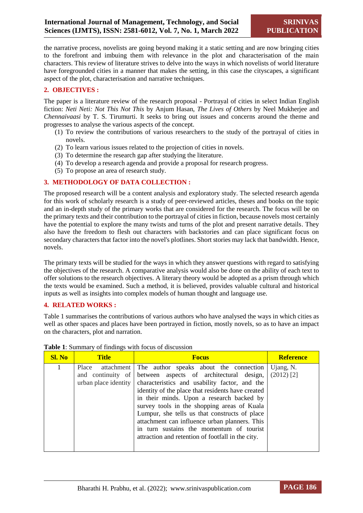the narrative process, novelists are going beyond making it a static setting and are now bringing cities to the forefront and imbuing them with relevance in the plot and characterisation of the main characters. This review of literature strives to delve into the ways in which novelists of world literature have foregrounded cities in a manner that makes the setting, in this case the cityscapes, a significant aspect of the plot, characterisation and narrative techniques.

#### **2. OBJECTIVES :**

The paper is a literature review of the research proposal - Portrayal of cities in select Indian English fiction: *Neti Neti: Not This Not This* by Anjum Hasan, *The Lives of Others* by Neel Mukherjee and *Chennaivaasi* by T. S. Tirumurti. It seeks to bring out issues and concerns around the theme and progresses to analyse the various aspects of the concept.

- (1) To review the contributions of various researchers to the study of the portrayal of cities in novels.
- (2) To learn various issues related to the projection of cities in novels.
- (3) To determine the research gap after studying the literature.
- (4) To develop a research agenda and provide a proposal for research progress.
- (5) To propose an area of research study.

#### **3. METHODOLOGY OF DATA COLLECTION :**

The proposed research will be a content analysis and exploratory study. The selected research agenda for this work of scholarly research is a study of peer-reviewed articles, theses and books on the topic and an in-depth study of the primary works that are considered for the research. The focus will be on the primary texts and their contribution to the portrayal of cities in fiction, because novels most certainly have the potential to explore the many twists and turns of the plot and present narrative details. They also have the freedom to flesh out characters with backstories and can place significant focus on secondary characters that factor into the novel's plotlines. Short stories may lack that bandwidth. Hence, novels.

The primary texts will be studied for the ways in which they answer questions with regard to satisfying the objectives of the research. A comparative analysis would also be done on the ability of each text to offer solutions to the research objectives. A literary theory would be adopted as a prism through which the texts would be examined. Such a method, it is believed, provides valuable cultural and historical inputs as well as insights into complex models of human thought and language use.

#### **4. RELATED WORKS :**

Table 1 summarises the contributions of various authors who have analysed the ways in which cities as well as other spaces and places have been portrayed in fiction, mostly novels, so as to have an impact on the characters, plot and narration.

| <b>Sl. No</b> | <b>Title</b>                              | <b>Focus</b>                                                                                                                                                                                                                                                                                                                                                                                                                                                                                                       | <b>Reference</b> |
|---------------|-------------------------------------------|--------------------------------------------------------------------------------------------------------------------------------------------------------------------------------------------------------------------------------------------------------------------------------------------------------------------------------------------------------------------------------------------------------------------------------------------------------------------------------------------------------------------|------------------|
| 1             | and continuity of<br>urban place identity | Place attachment The author speaks about the connection Ujang, N.<br>between aspects of architectural design,<br>characteristics and usability factor, and the<br>identity of the place that residents have created<br>in their minds. Upon a research backed by<br>survey tools in the shopping areas of Kuala<br>Lumpur, she tells us that constructs of place<br>attachment can influence urban planners. This<br>in turn sustains the momentum of tourist<br>attraction and retention of footfall in the city. | $(2012)$ [2]     |

#### **Table 1**: Summary of findings with focus of discussion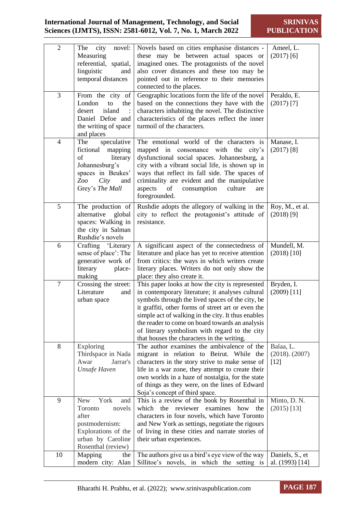**SRINIVAS PUBLICATION**

| $\overline{2}$ | city<br>novel:<br>The<br>Measuring<br>referential, spatial,<br>linguistic<br>and<br>temporal distances                                       | Novels based on cities emphasise distances -<br>these may be between actual spaces or<br>imagined ones. The protagonists of the novel<br>also cover distances and these too may be<br>pointed out in reference to their memories<br>connected to the places.                                                                                                                                                          | Ameel, L.<br>$(2017)$ [6]                  |
|----------------|----------------------------------------------------------------------------------------------------------------------------------------------|-----------------------------------------------------------------------------------------------------------------------------------------------------------------------------------------------------------------------------------------------------------------------------------------------------------------------------------------------------------------------------------------------------------------------|--------------------------------------------|
| 3              | From the city of<br>London<br>to<br>the<br>desert<br>island<br>Daniel Defoe and<br>the writing of space<br>and places                        | Geographic locations form the life of the novel<br>based on the connections they have with the<br>characters inhabiting the novel. The distinctive<br>characteristics of the places reflect the inner<br>turmoil of the characters.                                                                                                                                                                                   | Peraldo, E.<br>$(2017)$ [7]                |
| $\overline{4}$ | speculative<br>The<br>fictional<br>mapping<br>literary<br>of<br>Johannesburg's<br>spaces in Beukes'<br>Zoo<br>City<br>and<br>Grey's The Mall | The emotional world of the characters is<br>mapped in<br>with<br>consonance<br>the<br>city's<br>dysfunctional social spaces. Johannesburg, a<br>city with a vibrant social life, is shown up in<br>ways that reflect its fall side. The spaces of<br>criminality are evident and the manipulative<br>aspects<br>of<br>culture<br>consumption<br>are<br>foregrounded.                                                  | Manase, I.<br>$(2017)$ [8]                 |
| 5              | The production of<br>alternative<br>global<br>spaces: Walking in<br>the city in Salman<br>Rushdie's novels                                   | Rushdie adopts the allegory of walking in the<br>city to reflect the protagonist's attitude of<br>resistance.                                                                                                                                                                                                                                                                                                         | Roy, M., et al.<br>$(2018)$ [9]            |
| 6              | Crafting 'Literary<br>sense of place': The<br>generative work of<br>literary<br>place-<br>making                                             | A significant aspect of the connectedness of<br>literature and place has yet to receive attention<br>from critics: the ways in which writers create<br>literary places. Writers do not only show the<br>place: they also create it.                                                                                                                                                                                   | Mundell, M.<br>$(2018)$ [10]               |
| $\overline{7}$ | Crossing the street:<br>Literature<br>and<br>urban space                                                                                     | This paper looks at how the city is represented<br>in contemporary literature; it analyses cultural<br>symbols through the lived spaces of the city, be<br>it graffiti, other forms of street art or even the<br>simple act of walking in the city. It thus enables<br>the reader to come on board towards an analysis<br>of literary symbolism with regard to the city<br>that houses the characters in the writing. | Bryden, I.<br>$(2009)$ [11]                |
| 8              | Exploring<br>Thirdspace in Nada<br>Awar<br>Jarrar's<br><b>Unsafe Haven</b>                                                                   | The author examines the ambivalence of the<br>migrant in relation to Beirut. While the<br>characters in the story strive to make sense of<br>life in a war zone, they attempt to create their<br>own worlds in a haze of nostalgia, for the state<br>of things as they were, on the lines of Edward<br>Soja's concept of third space.                                                                                 | Balaa, L.<br>$(2018)$ . $(2007)$<br>$[12]$ |
| 9              | York<br><b>New</b><br>and<br>Toronto<br>novels<br>after<br>postmodernism:<br>Explorations of the<br>urban by Caroline<br>Rosenthal (review)  | This is a review of the book by Rosenthal in<br>which the reviewer<br>examines how<br>the<br>characters in four novels, which have Toronto<br>and New York as settings, negotiate the rigours<br>of living in these cities and narrate stories of<br>their urban experiences.                                                                                                                                         | Minto, D. N.<br>$(2015)$ [13]              |
| 10             | Mapping<br>the<br>modern city: Alan                                                                                                          | The authors give us a bird's eye view of the way<br>Sillitoe's novels, in which the setting is                                                                                                                                                                                                                                                                                                                        | Daniels, S., et<br>al. (1993) [14]         |

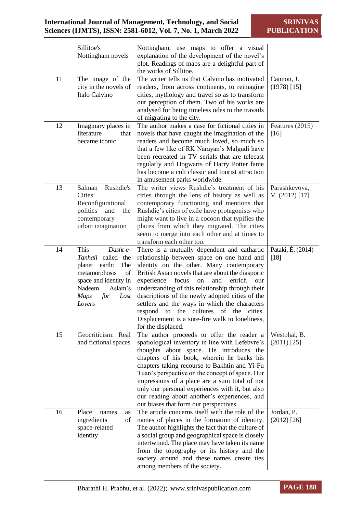|    | Sillitoe's                             | Nottingham, use maps to offer a visual                                                             |                   |
|----|----------------------------------------|----------------------------------------------------------------------------------------------------|-------------------|
|    | Nottingham novels                      | explanation of the development of the novel's                                                      |                   |
|    |                                        | plot. Readings of maps are a delightful part of<br>the works of Sillitoe.                          |                   |
| 11 | The image of the                       | The writer tells us that Calvino has motivated                                                     | Cannon, J.        |
|    | city in the novels of<br>Italo Calvino | readers, from across continents, to reimagine                                                      | $(1978)$ [15]     |
|    |                                        | cities, mythology and travel so as to transform<br>our perception of them. Two of his works are    |                   |
|    |                                        | analysed for being timeless odes to the travails                                                   |                   |
|    |                                        | of migrating to the city.                                                                          |                   |
| 12 | Imaginary places in                    | The author makes a case for fictional cities in                                                    | Features (2015)   |
|    | literature<br>that                     | novels that have caught the imagination of the                                                     | $[16]$            |
|    | became iconic                          | readers and become much loved, so much so                                                          |                   |
|    |                                        | that a few like of RK Narayan's Malgudi have                                                       |                   |
|    |                                        | been recreated in TV serials that are telecast                                                     |                   |
|    |                                        | regularly and Hogwarts of Harry Potter fame<br>has become a cult classic and tourist attraction    |                   |
|    |                                        | in amusement parks worldwide.                                                                      |                   |
| 13 | Rushdie's<br>Salman                    | The writer views Rushdie's treatment of his                                                        | Parashkevova,     |
|    | Cities:                                | cities through the lens of history as well as                                                      | V. (2012) [17]    |
|    | Reconfigurational                      | contemporary functioning and mentions that                                                         |                   |
|    | politics<br>and<br>the                 | Rushdie's cities of exile have protagonists who                                                    |                   |
|    | contemporary                           | might want to live in a cocoon that typifies the                                                   |                   |
|    | urban imagination                      | places from which they migrated. The cities                                                        |                   |
|    |                                        | seem to merge into each other and at times to<br>transform each other too.                         |                   |
| 14 | This<br>Dasht-e-                       | There is a mutually dependent and cathartic                                                        | Pataki, É. (2014) |
|    | Tanhaii called the                     | relationship between space on one hand and                                                         | $[18]$            |
|    | planet earth:<br>The                   | identity on the other. Many contemporary                                                           |                   |
|    | metamorphosis<br>of                    | British Asian novels that are about the diasporic                                                  |                   |
|    | space and identity in                  | experience<br>focus<br>and<br>enrich<br>on<br>our                                                  |                   |
|    | Nadeem<br>Aslam's                      | understanding of this relationship through their                                                   |                   |
|    | <b>Maps</b><br>for<br>$\mathit{Lost}$  | descriptions of the newly adopted cities of the                                                    |                   |
|    | Lovers                                 | settlers and the ways in which the characters<br>respond to the cultures of the cities.            |                   |
|    |                                        | Displacement is a sure-fire walk to loneliness,                                                    |                   |
|    |                                        | for the displaced.                                                                                 |                   |
| 15 | Geocriticism: Real                     | The author proceeds to offer the reader a                                                          | Westphal, B.      |
|    | and fictional spaces                   | spatiological inventory in line with Lefebvre's                                                    | $(2011)$ [25]     |
|    |                                        | thoughts about space. He introduces the                                                            |                   |
|    |                                        | chapters of his book, wherein he backs his                                                         |                   |
|    |                                        | chapters taking recourse to Bakhtin and Yi-Fu<br>Tuan's perspective on the concept of space. Our   |                   |
|    |                                        | impressions of a place are a sum total of not                                                      |                   |
|    |                                        | only our personal experiences with it, but also                                                    |                   |
|    |                                        | our reading about another's experiences, and                                                       |                   |
|    |                                        | our biases that form our perspectives.                                                             |                   |
| 16 | Place<br>names<br>as                   | The article concerns itself with the role of the                                                   | Jordan, P.        |
|    | ingredients<br>of                      | names of places in the formation of identity.                                                      | $(2012)$ [26]     |
|    | space-related                          | The author highlights the fact that the culture of                                                 |                   |
|    | identity                               | a social group and geographical space is closely<br>intertwined. The place may have taken its name |                   |
|    |                                        | from the topography or its history and the                                                         |                   |
|    |                                        | society around and these names create ties                                                         |                   |
|    |                                        | among members of the society.                                                                      |                   |

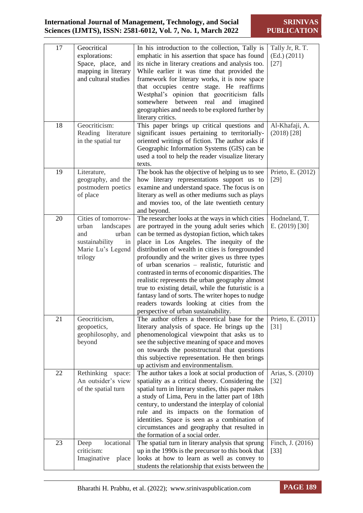**SRINIVAS PUBLICATION**

| 17<br>18 | Geocritical<br>explorations:<br>Space, place, and<br>mapping in literary<br>and cultural studies<br>Geocriticism:  | In his introduction to the collection, Tally is<br>emphatic in his assertion that space has found<br>its niche in literary creations and analysis too.<br>While earlier it was time that provided the<br>framework for literary works, it is now space<br>that occupies centre stage. He reaffirms<br>Westphal's opinion that geocriticism falls<br>somewhere between real<br>and<br>imagined<br>geographies and needs to be explored further by<br>literary critics.<br>This paper brings up critical questions and                                                                                                                                             | Tally Jr, R. T.<br>(Ed.) (2011)<br>$[27]$ |
|----------|--------------------------------------------------------------------------------------------------------------------|------------------------------------------------------------------------------------------------------------------------------------------------------------------------------------------------------------------------------------------------------------------------------------------------------------------------------------------------------------------------------------------------------------------------------------------------------------------------------------------------------------------------------------------------------------------------------------------------------------------------------------------------------------------|-------------------------------------------|
|          | Reading literature<br>in the spatial tur                                                                           | significant issues pertaining to territorially-<br>oriented writings of fiction. The author asks if<br>Geographic Information Systems (GIS) can be<br>used a tool to help the reader visualize literary<br>texts.                                                                                                                                                                                                                                                                                                                                                                                                                                                | Al-Khafaji, A.<br>$(2018)$ [28]           |
| 19       | Literature,<br>geography, and the<br>postmodern poetics<br>of place                                                | The book has the objective of helping us to see<br>how literary representations support us to<br>examine and understand space. The focus is on<br>literary as well as other mediums such as plays<br>and movies too, of the late twentieth century<br>and beyond.                                                                                                                                                                                                                                                                                                                                                                                                | Prieto, E. (2012)<br>$[29]$               |
| 20       | Cities of tomorrow-<br>urban<br>landscapes<br>urban<br>and<br>sustainability<br>in<br>Marie Lu's Legend<br>trilogy | The researcher looks at the ways in which cities<br>are portrayed in the young adult series which<br>can be termed as dystopian fiction, which takes<br>place in Los Angeles. The inequity of the<br>distribution of wealth in cities is foregrounded<br>profoundly and the writer gives us three types<br>of urban scenarios - realistic, futuristic and<br>contrasted in terms of economic disparities. The<br>realistic represents the urban geography almost<br>true to existing detail, while the futuristic is a<br>fantasy land of sorts. The writer hopes to nudge<br>readers towards looking at cities from the<br>perspective of urban sustainability. | Hodneland, T.<br>E. $(2019)$ [30]         |
| 21       | Geocriticism,<br>geopoetics,<br>geophilosophy, and<br>beyond                                                       | The author offers a theoretical base for the<br>literary analysis of space. He brings up the<br>phenomenological viewpoint that asks us to<br>see the subjective meaning of space and moves<br>on towards the poststructural that questions<br>this subjective representation. He then brings<br>up activism and environmentalism.                                                                                                                                                                                                                                                                                                                               | Prieto, E. (2011)<br>$[31]$               |
| 22       | Rethinking<br>space:<br>An outsider's view<br>of the spatial turn                                                  | The author takes a look at social production of<br>spatiality as a critical theory. Considering the<br>spatial turn in literary studies, this paper makes<br>a study of Lima, Peru in the latter part of 18th<br>century, to understand the interplay of colonial<br>rule and its impacts on the formation of<br>identities. Space is seen as a combination of<br>circumstances and geography that resulted in<br>the formation of a social order.                                                                                                                                                                                                               | Arias, S. (2010)<br>$[32]$                |
| 23       | locational<br>Deep<br>criticism:<br>Imaginative<br>place                                                           | The spatial turn in literary analysis that sprung<br>up in the 1990s is the precursor to this book that<br>looks at how to learn as well as convey to<br>students the relationship that exists between the                                                                                                                                                                                                                                                                                                                                                                                                                                                       | Finch, J. (2016)<br>$[33]$                |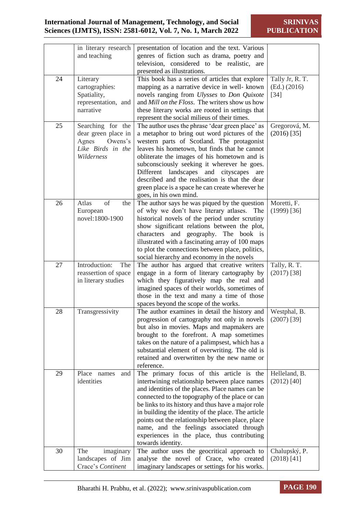|    | in literary research<br>and teaching                                          | presentation of location and the text. Various<br>genres of fiction such as drama, poetry and<br>television, considered to be realistic, are                                                                                                                                                                                                                                                                                                                                      |                                           |
|----|-------------------------------------------------------------------------------|-----------------------------------------------------------------------------------------------------------------------------------------------------------------------------------------------------------------------------------------------------------------------------------------------------------------------------------------------------------------------------------------------------------------------------------------------------------------------------------|-------------------------------------------|
|    |                                                                               | presented as illustrations.                                                                                                                                                                                                                                                                                                                                                                                                                                                       |                                           |
| 24 | Literary<br>cartographies:<br>Spatiality,<br>representation, and<br>narrative | This book has a series of articles that explore<br>mapping as a narrative device in well-known<br>novels ranging from Ulysses to Don Quixote<br>and Mill on the Floss. The writers show us how<br>these literary works are rooted in settings that<br>represent the social milieus of their times.                                                                                                                                                                                | Tally Jr, R. T.<br>(Ed.) (2016)<br>$[34]$ |
| 25 | Searching for the                                                             | The author uses the phrase 'dear green place' as                                                                                                                                                                                                                                                                                                                                                                                                                                  | Gregorová, M.                             |
|    | dear green place in<br>Owens's<br>Agnes<br>Like Birds in the<br>Wilderness    | a metaphor to bring out word pictures of the<br>western parts of Scotland. The protagonist<br>leaves his hometown, but finds that he cannot<br>obliterate the images of his hometown and is<br>subconsciously seeking it wherever he goes.<br>Different landscapes<br>and<br>cityscapes<br>are<br>described and the realisation is that the dear<br>green place is a space he can create wherever he<br>goes, in his own mind.                                                    | $(2016)$ [35]                             |
| 26 | Atlas<br>of                                                                   |                                                                                                                                                                                                                                                                                                                                                                                                                                                                                   |                                           |
|    | the<br>European<br>novel:1800-1900                                            | The author says he was piqued by the question<br>of why we don't have literary atlases. The<br>historical novels of the period under scrutiny<br>show significant relations between the plot,<br>characters and geography. The book is<br>illustrated with a fascinating array of 100 maps<br>to plot the connections between place, politics,<br>social hierarchy and economy in the novels                                                                                      | Moretti, F.<br>$(1999)$ [36]              |
| 27 | Introduction:<br>The                                                          | The author has argued that creative writers                                                                                                                                                                                                                                                                                                                                                                                                                                       | Tally, R. T.                              |
|    | reassertion of space<br>in literary studies                                   | engage in a form of literary cartography by<br>which they figuratively map the real and<br>imagined spaces of their worlds, sometimes of<br>those in the text and many a time of those<br>spaces beyond the scope of the works.                                                                                                                                                                                                                                                   | $(2017)$ [38]                             |
| 28 | Transgressivity                                                               | The author examines in detail the history and   Westphal, B.                                                                                                                                                                                                                                                                                                                                                                                                                      |                                           |
|    |                                                                               | progression of cartography not only in novels<br>but also in movies. Maps and mapmakers are<br>brought to the forefront. A map sometimes<br>takes on the nature of a palimpsest, which has a<br>substantial element of overwriting. The old is<br>retained and overwritten by the new name or<br>reference.                                                                                                                                                                       | $(2007)$ [39]                             |
| 29 | Place<br>names<br>and<br>identities                                           | The primary focus of this article is the<br>intertwining relationship between place names<br>and identities of the places. Place names can be<br>connected to the topography of the place or can<br>be links to its history and thus have a major role<br>in building the identity of the place. The article<br>points out the relationship between place, place<br>name, and the feelings associated through<br>experiences in the place, thus contributing<br>towards identity. | Helleland, B.<br>$(2012)$ [40]            |
| 30 | The<br>imaginary                                                              | The author uses the geocritical approach to                                                                                                                                                                                                                                                                                                                                                                                                                                       | Chalupský, P.                             |
|    | landscapes of Jim                                                             | analyse the novel of Crace, who created                                                                                                                                                                                                                                                                                                                                                                                                                                           | $(2018)$ [41]                             |
|    | Crace's Continent                                                             | imaginary landscapes or settings for his works.                                                                                                                                                                                                                                                                                                                                                                                                                                   |                                           |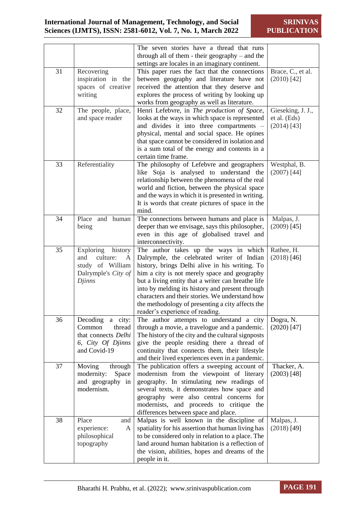|    |                                                                                                          | The seven stories have a thread that runs<br>through all of them - their geography $-$ and the<br>settings are locales in an imaginary continent.                                                                                                                                                                                                                                                                                        |                                                    |
|----|----------------------------------------------------------------------------------------------------------|------------------------------------------------------------------------------------------------------------------------------------------------------------------------------------------------------------------------------------------------------------------------------------------------------------------------------------------------------------------------------------------------------------------------------------------|----------------------------------------------------|
| 31 | Recovering<br>inspiration in the<br>spaces of creative<br>writing                                        | This paper rues the fact that the connections<br>between geography and literature have not<br>received the attention that they deserve and<br>explores the process of writing by looking up<br>works from geography as well as literature.                                                                                                                                                                                               | Brace, C., et al.<br>$(2010)$ [42]                 |
| 32 | The people, place,<br>and space reader                                                                   | Henri Lefebvre, in The production of Space,<br>looks at the ways in which space is represented<br>and divides it into three compartments -<br>physical, mental and social space. He opines<br>that space cannot be considered in isolation and<br>is a sum total of the energy and contents in a<br>certain time frame.                                                                                                                  | Gieseking, J. J.,<br>et al. (Eds)<br>$(2014)$ [43] |
| 33 | Referentiality                                                                                           | The philosophy of Lefebvre and geographers<br>like Soja is analysed to understand the<br>relationship between the phenomena of the real<br>world and fiction, between the physical space<br>and the ways in which it is presented in writing.<br>It is words that create pictures of space in the<br>mind.                                                                                                                               | Westphal, B.<br>$(2007)$ [44]                      |
| 34 | and human<br>Place<br>being                                                                              | The connections between humans and place is<br>deeper than we envisage, says this philosopher,<br>even in this age of globalised travel and<br>interconnectivity.                                                                                                                                                                                                                                                                        | Malpas, J.<br>$(2009)$ [45]                        |
| 35 | Exploring<br>history<br>culture:<br>and<br>A<br>study of William<br>Dalrymple's City of<br><b>Djinns</b> | The author takes up the ways in which<br>Dalrymple, the celebrated writer of Indian<br>history, brings Delhi alive in his writing. To<br>him a city is not merely space and geography<br>but a living entity that a writer can breathe life<br>into by melding its history and present through<br>characters and their stories. We understand how<br>the methodology of presenting a city affects the<br>reader's experience of reading. | Rathee, H.<br>$(2018)$ [46]                        |
| 36 | Decoding<br>a city:<br>Common<br>thread<br>that connects Delhi<br>6, City Of Djinns<br>and Covid-19      | The author attempts to understand a city<br>through a movie, a travelogue and a pandemic.<br>The history of the city and the cultural signposts<br>give the people residing there a thread of<br>continuity that connects them, their lifestyle<br>and their lived experiences even in a pandemic.                                                                                                                                       | Dogra, N.<br>$(2020)$ [47]                         |
| 37 | Moving<br>through<br>modernity:<br>Space<br>and geography in<br>modernism.                               | The publication offers a sweeping account of<br>modernism from the viewpoint of literary<br>geography. In stimulating new readings of<br>several texts, it demonstrates how space and<br>geography were also central concerns for<br>modernists, and proceeds to critique the<br>differences between space and place.                                                                                                                    | Thacker, A.<br>$(2003)$ [48]                       |
| 38 | Place<br>and<br>experience:<br>A<br>philosophical<br>topography                                          | Malpas is well known in the discipline of<br>spatiality for his assertion that human living has<br>to be considered only in relation to a place. The<br>land around human habitation is a reflection of<br>the vision, abilities, hopes and dreams of the<br>people in it.                                                                                                                                                               | Malpas, J.<br>$(2018)$ [49]                        |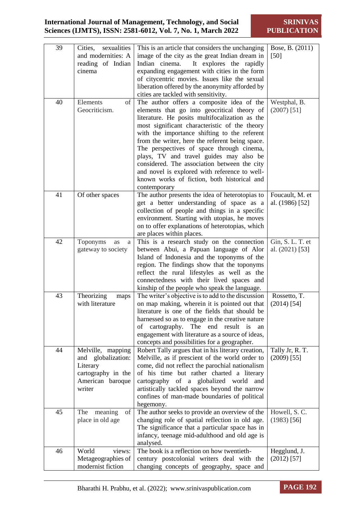**SRINIVAS PUBLICATION**

| 39 | sexualities<br>Cities,                    | This is an article that considers the unchanging                                                 | Bose, B. (2011)                     |
|----|-------------------------------------------|--------------------------------------------------------------------------------------------------|-------------------------------------|
|    | and modernities: A                        | image of the city as the great Indian dream in                                                   | [50]                                |
|    | reading of Indian                         | Indian cinema.<br>It explores the rapidly                                                        |                                     |
|    | cinema                                    | expanding engagement with cities in the form                                                     |                                     |
|    |                                           | of citycentric movies. Issues like the sexual                                                    |                                     |
|    |                                           | liberation offered by the anonymity afforded by                                                  |                                     |
|    |                                           | cities are tackled with sensitivity.                                                             |                                     |
| 40 | Elements<br>of                            | The author offers a composite idea of the                                                        | Westphal, B.                        |
|    | Geocriticism.                             | elements that go into geocritical theory of                                                      | $(2007)$ [51]                       |
|    |                                           | literature. He posits multifocalization as the                                                   |                                     |
|    |                                           | most significant characteristic of the theory                                                    |                                     |
|    |                                           | with the importance shifting to the referent                                                     |                                     |
|    |                                           | from the writer, here the referent being space.<br>The perspectives of space through cinema,     |                                     |
|    |                                           | plays, TV and travel guides may also be                                                          |                                     |
|    |                                           | considered. The association between the city                                                     |                                     |
|    |                                           | and novel is explored with reference to well-                                                    |                                     |
|    |                                           | known works of fiction, both historical and                                                      |                                     |
|    |                                           | contemporary                                                                                     |                                     |
| 41 | Of other spaces                           | The author presents the idea of heterotopias to                                                  | Foucault, M. et                     |
|    |                                           | get a better understanding of space as a                                                         | al. (1986) [52]                     |
|    |                                           | collection of people and things in a specific                                                    |                                     |
|    |                                           | environment. Starting with utopias, he moves                                                     |                                     |
|    |                                           | on to offer explanations of heterotopias, which                                                  |                                     |
|    |                                           | are places within places.                                                                        |                                     |
| 42 | Toponyms<br>as<br>a<br>gateway to society | This is a research study on the connection<br>between Abui, a Papuan language of Alor            | Gin, S. L. T. et<br>al. (2021) [53] |
|    |                                           | Island of Indonesia and the toponyms of the                                                      |                                     |
|    |                                           | region. The findings show that the toponyms                                                      |                                     |
|    |                                           | reflect the rural lifestyles as well as the                                                      |                                     |
|    |                                           | connectedness with their lived spaces and                                                        |                                     |
|    |                                           | kinship of the people who speak the language.                                                    |                                     |
| 43 | Theorizing<br>maps                        | The writer's objective is to add to the discussion                                               | Rossetto, T.                        |
|    | with literature                           | on map making, wherein it is pointed out that                                                    | $(2014)$ [54]                       |
|    |                                           | literature is one of the fields that should be                                                   |                                     |
|    |                                           | harnessed so as to engage in the creative nature                                                 |                                     |
|    |                                           | cartography.<br>The end result is<br>of<br>an                                                    |                                     |
|    |                                           | engagement with literature as a source of ideas,<br>concepts and possibilities for a geographer. |                                     |
| 44 | Melville, mapping                         | Robert Tally argues that in his literary creation,                                               | Tally Jr, R. T.                     |
|    | globalization:<br>and                     | Melville, as if prescient of the world order to                                                  | $(2009)$ [55]                       |
|    | Literary                                  | come, did not reflect the parochial nationalism                                                  |                                     |
|    | cartography in the                        | of his time but rather charted a literary                                                        |                                     |
|    | American baroque                          | cartography of a globalized<br>world<br>and                                                      |                                     |
|    | writer                                    | artistically tackled spaces beyond the narrow                                                    |                                     |
|    |                                           | confines of man-made boundaries of political                                                     |                                     |
|    |                                           | hegemony.                                                                                        |                                     |
| 45 | The<br>meaning<br>of                      | The author seeks to provide an overview of the                                                   | Howell, S.C.                        |
|    | place in old age                          | changing role of spatial reflection in old age.                                                  | $(1983)$ [56]                       |
|    |                                           | The significance that a particular space has in                                                  |                                     |
|    |                                           | infancy, teenage mid-adulthood and old age is<br>analysed.                                       |                                     |
| 46 | World<br>views:                           | The book is a reflection on how twentieth-                                                       | Hegglund, J.                        |
|    | Metageographies of                        | century postcolonial writers deal with the                                                       | $(2012)$ [57]                       |
|    | modernist fiction                         | changing concepts of geography, space and                                                        |                                     |

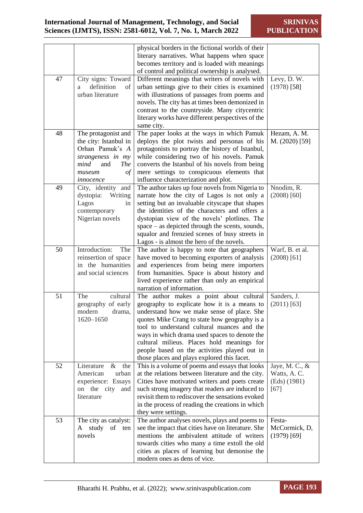|    |                                                                                                                                                        | physical borders in the fictional worlds of their<br>literary narratives. What happens when space<br>becomes territory and is loaded with meanings<br>of control and political ownership is analysed.                                                                                                                                                                                                                              |                                                          |
|----|--------------------------------------------------------------------------------------------------------------------------------------------------------|------------------------------------------------------------------------------------------------------------------------------------------------------------------------------------------------------------------------------------------------------------------------------------------------------------------------------------------------------------------------------------------------------------------------------------|----------------------------------------------------------|
| 47 | City signs: Toward<br>definition<br>of<br>a<br>urban literature                                                                                        | Different meanings that writers of novels with<br>urban settings give to their cities is examined<br>with illustrations of passages from poems and<br>novels. The city has at times been demonized in<br>contrast to the countryside. Many citycentric<br>literary works have different perspectives of the<br>same city.                                                                                                          | Levy, D. W.<br>$(1978)$ [58]                             |
| 48 | The protagonist and<br>the city: Istanbul in<br>Orhan Pamuk's A<br>strangeness in my<br>mind<br><b>The</b><br>and<br>$\sigma f$<br>museum<br>innocence | The paper looks at the ways in which Pamuk<br>deploys the plot twists and personas of his<br>protagonists to portray the history of Istanbul,<br>while considering two of his novels. Pamuk<br>converts the Istanbul of his novels from being<br>mere settings to conspicuous elements that<br>influence characterization and plot.                                                                                                | Hezam, A. M.<br>M. (2020) [59]                           |
| 49 | City, identity and<br>dystopia:<br>Writing<br>Lagos<br>in<br>contemporary<br>Nigerian novels                                                           | The author takes up four novels from Nigeria to<br>narrate how the city of Lagos is not only a<br>setting but an invaluable cityscape that shapes<br>the identities of the characters and offers a<br>dystopian view of the novels' plotlines. The<br>space – as depicted through the scents, sounds,<br>squalor and frenzied scenes of busy streets in<br>Lagos - is almost the hero of the novels.                               | Nnodim, R.<br>$(2008)$ [60]                              |
| 50 | Introduction:<br>The<br>reinsertion of space<br>in the humanities<br>and social sciences                                                               | The author is happy to note that geographers<br>have moved to becoming exporters of analysis<br>and experiences from being mere importers<br>from humanities. Space is about history and<br>lived experience rather than only an empirical<br>narration of information.                                                                                                                                                            | Warf, B. et al.<br>$(2008)$ [61]                         |
| 51 | The<br>cultural<br>geography of early<br>modern<br>drama,<br>1620-1650                                                                                 | The author makes a point about cultural<br>geography to explicate how it is a means to<br>understand how we make sense of place. She<br>quotes Mike Crang to state how geography is a<br>tool to understand cultural nuances and the<br>ways in which drama used spaces to denote the<br>cultural milieus. Places hold meanings for<br>people based on the activities played out in<br>those places and plays explored this facet. | Sanders, J.<br>$(2011)$ [63]                             |
| 52 | Literature<br>$\&$<br>the<br>American<br>urban<br>experience: Essays<br>on the city and<br>literature                                                  | This is a volume of poems and essays that looks<br>at the relations between literature and the city.<br>Cities have motivated writers and poets create<br>such strong imagery that readers are induced to<br>revisit them to rediscover the sensations evoked<br>in the process of reading the creations in which<br>they were settings.                                                                                           | Jaye, M. C., &<br>Watts, A. C.<br>(Eds) (1981)<br>$[67]$ |
| 53 | The city as catalyst:<br>study of ten<br>A<br>novels                                                                                                   | The author analyses novels, plays and poems to<br>see the impact that cities have on literature. She<br>mentions the ambivalent attitude of writers<br>towards cities who many a time extoll the old<br>cities as places of learning but demonise the<br>modern ones as dens of vice.                                                                                                                                              | Festa-<br>McCormick, D,<br>$(1979)$ [69]                 |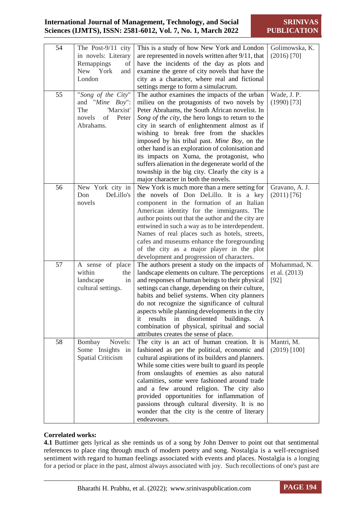**SRINIVAS PUBLICATION**

| 54 | The Post-9/11 city<br>in novels: Literary<br>Remappings<br>of<br>New York<br>and<br>London      | This is a study of how New York and London<br>are represented in novels written after 9/11, that<br>have the incidents of the day as plots and<br>examine the genre of city novels that have the<br>city as a character, where real and fictional<br>settings merge to form a simulacrum.                                                                                                                                                                                                                                                                                                     | Golimowska, K.<br>$(2016)$ [70]         |
|----|-------------------------------------------------------------------------------------------------|-----------------------------------------------------------------------------------------------------------------------------------------------------------------------------------------------------------------------------------------------------------------------------------------------------------------------------------------------------------------------------------------------------------------------------------------------------------------------------------------------------------------------------------------------------------------------------------------------|-----------------------------------------|
| 55 | "Song of the City"<br>and "Mine Boy":<br>'Marxist'<br>The<br>novels<br>οf<br>Peter<br>Abrahams. | The author examines the impacts of the urban<br>milieu on the protagonists of two novels by<br>Peter Abrahams, the South African novelist. In<br>Song of the city, the hero longs to return to the<br>city in search of enlightenment almost as if<br>wishing to break free from the shackles<br>imposed by his tribal past. Mine Boy, on the<br>other hand is an exploration of colonisation and<br>its impacts on Xuma, the protagonist, who<br>suffers alienation in the degenerate world of the<br>township in the big city. Clearly the city is a<br>major character in both the novels. | Wade, J. P.<br>$(1990)$ [73]            |
| 56 | New York city in<br>DeLillo's<br>Don<br>novels                                                  | New York is much more than a mere setting for<br>the novels of Don DeLillo. It is a key<br>component in the formation of an Italian<br>American identity for the immigrants. The<br>author points out that the author and the city are<br>entwined in such a way as to be interdependent.<br>Names of real places such as hotels, streets,<br>cafes and museums enhance the foregrounding<br>of the city as a major player in the plot<br>development and progression of characters.                                                                                                          | Gravano, A. J.<br>$(2011)$ [76]         |
| 57 | A sense of place<br>within<br>the<br>landscape<br>in<br>cultural settings.                      | The authors present a study on the impacts of<br>landscape elements on culture. The perceptions<br>and responses of human beings to their physical<br>settings can change, depending on their culture,<br>habits and belief systems. When city planners<br>do not recognize the significance of cultural<br>aspects while planning developments in the city<br>results<br>in disoriented buildings.<br>A<br>1t<br>combination of physical, spiritual and social<br>attributes creates the sense of place.                                                                                     | Mohammad, N.<br>et al. (2013)<br>$[92]$ |
| 58 | Novels:<br>Bombay<br>Some Insights in<br>Spatial Criticism                                      | The city is an act of human creation. It is<br>fashioned as per the political, economic and<br>cultural aspirations of its builders and planners.<br>While some cities were built to guard its people<br>from onslaughts of enemies as also natural<br>calamities, some were fashioned around trade<br>and a few around religion. The city also<br>provided opportunities for inflammation of<br>passions through cultural diversity. It is no<br>wonder that the city is the centre of literary<br>endeavours.                                                                               | Mantri, M.<br>$(2019)$ [100]            |

#### **Correlated works:**

**4.1** Buttimer gets lyrical as she reminds us of a song by John Denver to point out that sentimental references to place ring through much of modern poetry and song. Nostalgia is a well-recognised sentiment with regard to human feelings associated with events and places. Nostalgia is a longing for a period or place in the past, almost always associated with joy. Such recollections of one's past are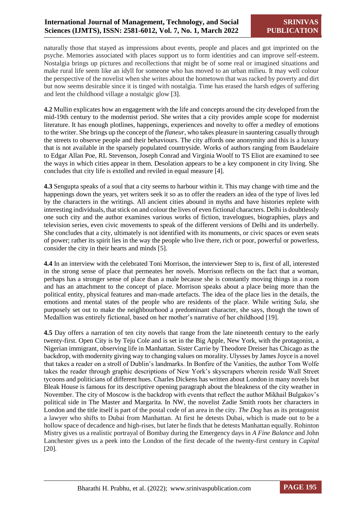naturally those that stayed as impressions about events, people and places and got imprinted on the psyche. Memories associated with places support us to form identities and can improve self-esteem. Nostalgia brings up pictures and recollections that might be of some real or imagined situations and make rural life seem like an idyll for someone who has moved to an urban milieu. It may well colour the perspective of the novelist when she writes about the hometown that was racked by poverty and dirt but now seems desirable since it is tinged with nostalgia. Time has erased the harsh edges of suffering and lent the childhood village a nostalgic glow [3].

**4.2** Mullin explicates how an engagement with the life and concepts around the city developed from the mid-19th century to the modernist period. She writes that a city provides ample scope for modernist literature. It has enough plotlines, happenings, experiences and novelty to offer a medley of emotions to the writer. She brings up the concept of the *flaneur*, who takes pleasure in sauntering casually through the streets to observe people and their behaviours. The city affords one anonymity and this is a luxury that is not available in the sparsely populated countryside. Works of authors ranging from Baudelaire to Edgar Allan Poe, RL Stevenson, Joseph Conrad and Virginia Woolf to TS Eliot are examined to see the ways in which cities appear in them. Desolation appears to be a key component in city living. She concludes that city life is extolled and reviled in equal measure [4].

**4.3** Sengupta speaks of a soul that a city seems to harbour within it. This may change with time and the happenings down the years, yet writers seek it so as to offer the readers an idea of the type of lives led by the characters in the writings. All ancient cities abound in myths and have histories replete with interesting individuals, that stick on and colour the lives of even fictional characters. Delhi is doubtlessly one such city and the author examines various works of fiction, travelogues, biographies, plays and television series, even civic movements to speak of the different versions of Delhi and its underbelly. She concludes that a city, ultimately is not identified with its monuments, or civic spaces or even seats of power; rather its spirit lies in the way the people who live there, rich or poor, powerful or powerless, consider the city in their hearts and minds [5].

**4.4** In an interview with the celebrated Toni Morrison, the interviewer Step to is, first of all, interested in the strong sense of place that permeates her novels. Morrison reflects on the fact that a woman, perhaps has a stronger sense of place than a male because she is constantly moving things in a room and has an attachment to the concept of place. Morrison speaks about a place being more than the political entity, physical features and man-made artefacts. The idea of the place lies in the details, the emotions and mental states of the people who are residents of the place. While writing *Sula*, she purposely set out to make the neighbourhood a predominant character, she says, though the town of Medallion was entirely fictional, based on her mother's narrative of her childhood [19].

**4.5** Day offers a narration of ten city novels that range from the late nineteenth century to the early twenty-first. Open City is by Teju Cole and is set in the Big Apple, New York, with the protagonist, a Nigerian immigrant, observing life in Manhattan. Sister Carrie by Theodore Dreiser has Chicago as the backdrop, with modernity giving way to changing values on morality. Ulysses by James Joyce is a novel that takes a reader on a stroll of Dublin's landmarks. In Bonfire of the Vanities, the author Tom Wolfe takes the reader through graphic descriptions of New York's skyscrapers wherein reside Wall Street tycoons and politicians of different hues. Charles Dickens has written about London in many novels but Bleak House is famous for its descriptive opening paragraph about the bleakness of the city weather in November. The city of Moscow is the backdrop with events that reflect the author Mikhail Bulgakov's political side in The Master and Margarita. In NW, the novelist Zadie Smith roots her characters in London and the title itself is part of the postal code of an area in the city. *The Dog* has as its protagonist a lawyer who shifts to Dubai from Manhattan. At first he detests Dubai, which is made out to be a hollow space of decadence and high-rises, but later he finds that he detests Manhattan equally. Rohinton Mistry gives us a realistic portrayal of Bombay during the Emergency days in *A Fine Balance* and John Lanchester gives us a peek into the London of the first decade of the twenty-first century in *Capital*  [20]*.*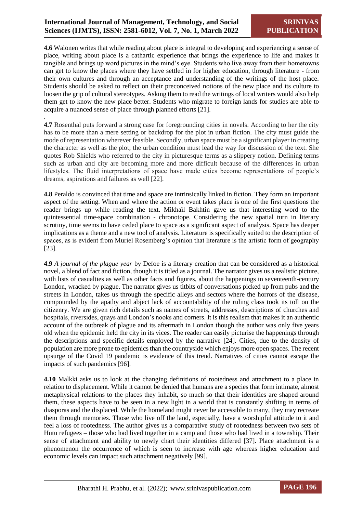.

**4.6** Walonen writes that while reading about place is integral to developing and experiencing a sense of place, writing about place is a cathartic experience that brings the experience to life and makes it tangible and brings up word pictures in the mind's eye. Students who live away from their hometowns can get to know the places where they have settled in for higher education, through literature - from their own cultures and through an acceptance and understanding of the writings of the host place. Students should be asked to reflect on their preconceived notions of the new place and its culture to loosen the grip of cultural stereotypes. Asking them to read the writings of local writers would also help them get to know the new place better. Students who migrate to foreign lands for studies are able to acquire a nuanced sense of place through planned efforts [21].

**4.7** Rosenthal puts forward a strong case for foregrounding cities in novels. According to her the city has to be more than a mere setting or backdrop for the plot in urban fiction. The city must guide the mode of representation wherever feasible. Secondly, urban space must be a significant player in creating the character as well as the plot; the urban condition must lead the way for discussion of the text. She quotes Rob Shields who referred to the city in picturesque terms as a slippery notion. Defining terms such as urban and city are becoming more and more difficult because of the differences in urban lifestyles. The fluid interpretations of space have made cities become representations of people's dreams, aspirations and failures as well [22].

**4.8** Peraldo is convinced that time and space are intrinsically linked in fiction. They form an important aspect of the setting. When and where the action or event takes place is one of the first questions the reader brings up while reading the text. Mikhaïl Bakhtin gave us that interesting word to the quintessential time-space combination - chronotope. Considering the new spatial turn in literary scrutiny, time seems to have ceded place to space as a significant aspect of analysis. Space has deeper implications as a theme and a new tool of analysis. Literature is specifically suited to the description of spaces, as is evident from Muriel Rosemberg's opinion that literature is the artistic form of geography [23].

**4.9** *A journal of the plague year* by Defoe is a literary creation that can be considered as a historical novel, a blend of fact and fiction, though it is titled as a journal. The narrator gives us a realistic picture, with lists of casualties as well as other facts and figures, about the happenings in seventeenth-century London, wracked by plague. The narrator gives us titbits of conversations picked up from pubs and the streets in London, takes us through the specific alleys and sectors where the horrors of the disease, compounded by the apathy and abject lack of accountability of the ruling class took its toll on the citizenry. We are given rich details such as names of streets, addresses, descriptions of churches and hospitals, riversides, quays and London's nooks and corners. It is this realism that makes it an authentic account of the outbreak of plague and its aftermath in London though the author was only five years old when the epidemic held the city in its vices. The reader can easily picturise the happenings through the descriptions and specific details employed by the narrative [24]. Cities, due to the density of population are more prone to epidemics than the countryside which enjoys more open spaces. The recent upsurge of the Covid 19 pandemic is evidence of this trend. Narratives of cities cannot escape the impacts of such pandemics [96].

**4.10** Malkki asks us to look at the changing definitions of rootedness and attachment to a place in relation to displacement. While it cannot be denied that humans are a species that form intimate, almost metaphysical relations to the places they inhabit, so much so that their identities are shaped around them, these aspects have to be seen in a new light in a world that is constantly shifting in terms of diasporas and the displaced. While the homeland might never be accessible to many, they may recreate them through memories. Those who live off the land, especially, have a worshipful attitude to it and feel a loss of rootedness. The author gives us a comparative study of rootedness between two sets of Hutu refugees – those who had lived together in a camp and those who had lived in a township. Their sense of attachment and ability to newly chart their identities differed [37]. Place attachment is a phenomenon the occurrence of which is seen to increase with age whereas higher education and economic levels can impact such attachment negatively [99].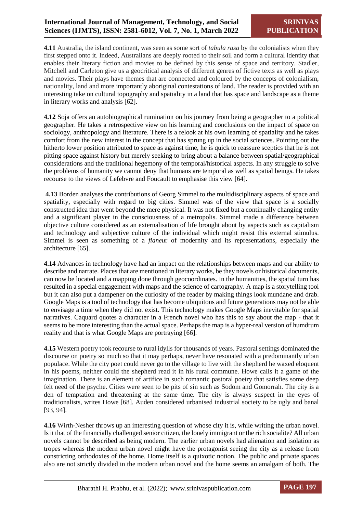**4.11** Australia, the island continent, was seen as some sort of *tabula rasa* by the colonialists when they first stepped onto it. Indeed, Australians are deeply rooted to their soil and form a cultural identity that enables their literary fiction and movies to be defined by this sense of space and territory. Stadler, Mitchell and Carleton give us a geocritical analysis of different genres of fictive texts as well as plays and movies. Their plays have themes that are connected and coloured by the concepts of colonialism, nationality, land and more importantly aboriginal contestations of land. The reader is provided with an interesting take on cultural topography and spatiality in a land that has space and landscape as a theme in literary works and analysis [62].

**4.12** Soja offers an autobiographical rumination on his journey from being a geographer to a political geographer. He takes a retrospective view on his learning and conclusions on the impact of space on sociology, anthropology and literature. There is a relook at his own learning of spatiality and he takes comfort from the new interest in the concept that has sprung up in the social sciences. Pointing out the hitherto lower position attributed to space as against time, he is quick to reassure sceptics that he is not pitting space against history but merely seeking to bring about a balance between spatial/geographical considerations and the traditional hegemony of the temporal/historical aspects. In any struggle to solve the problems of humanity we cannot deny that humans are temporal as well as spatial beings. He takes recourse to the views of Lefebvre and Foucault to emphasise this view [64].

**4.13** Borden analyses the contributions of Georg Simmel to the multidisciplinary aspects of space and spatiality, especially with regard to big cities. Simmel was of the view that space is a socially constructed idea that went beyond the mere physical. It was not fixed but a continually changing entity and a significant player in the consciousness of a metropolis. Simmel made a difference between objective culture considered as an externalisation of life brought about by aspects such as capitalism and technology and subjective culture of the individual which might resist this external stimulus. Simmel is seen as something of a *flaneu*r of modernity and its representations, especially the architecture [65].

**4.14** Advances in technology have had an impact on the relationships between maps and our ability to describe and narrate. Places that are mentioned in literary works, be they novels or historical documents, can now be located and a mapping done through geocoordinates. In the humanities, the spatial turn has resulted in a special engagement with maps and the science of cartography. A map is a storytelling tool but it can also put a dampener on the curiosity of the reader by making things look mundane and drab. Google Maps is a tool of technology that has become ubiquitous and future generations may not be able to envisage a time when they did not exist. This technology makes Google Maps inevitable for spatial narratives. Caquard quotes a character in a French novel who has this to say about the map - that it seems to be more interesting than the actual space. Perhaps the map is a hyper-real version of humdrum reality and that is what Google Maps are portraying [66].

**4.15** Western poetry took recourse to rural idylls for thousands of years. Pastoral settings dominated the discourse on poetry so much so that it may perhaps, never have resonated with a predominantly urban populace. While the city poet could never go to the village to live with the shepherd he waxed eloquent in his poems, neither could the shepherd read it in his rural commune. Howe calls it a game of the imagination. There is an element of artifice in such romantic pastoral poetry that satisfies some deep felt need of the psyche. Cities were seen to be pits of sin such as Sodom and Gomorrah. The city is a den of temptation and threatening at the same time. The city is always suspect in the eyes of traditionalists, writes Howe [68]. Auden considered urbanised industrial society to be ugly and banal [93, 94].

**4.16** Wirth-Nesher throws up an interesting question of whose city it is, while writing the urban novel. Is it that of the financially challenged senior citizen, the lonely immigrant or the rich socialite? All urban novels cannot be described as being modern. The earlier urban novels had alienation and isolation as tropes whereas the modern urban novel might have the protagonist seeing the city as a release from constricting orthodoxies of the home. Home itself is a quixotic notion. The public and private spaces also are not strictly divided in the modern urban novel and the home seems an amalgam of both. The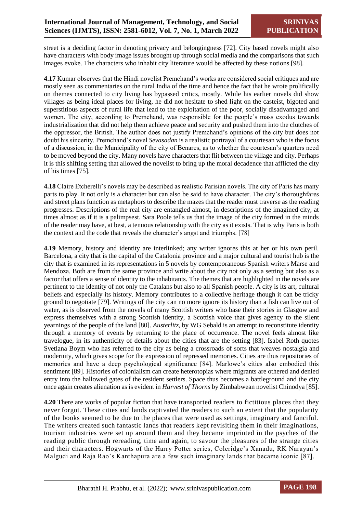street is a deciding factor in denoting privacy and belongingness [72]. City based novels might also have characters with body image issues brought up through social media and the comparisons that such images evoke. The characters who inhabit city literature would be affected by these notions [98].

**4.17** Kumar observes that the Hindi novelist Premchand's works are considered social critiques and are mostly seen as commentaries on the rural India of the time and hence the fact that he wrote prolifically on themes connected to city living has bypassed critics, mostly. While his earlier novels did show villages as being ideal places for living, he did not hesitate to shed light on the casteist, bigoted and superstitious aspects of rural life that lead to the exploitation of the poor, socially disadvantaged and women. The city, according to Premchand, was responsible for the people's mass exodus towards industrialization that did not help them achieve peace and security and pushed them into the clutches of the oppressor, the British. The author does not justify Premchand's opinions of the city but does not doubt his sincerity. Premchand's novel *Sevasadan* is a realistic portrayal of a courtesan who is the focus of a discussion, in the Municipality of the city of Benares, as to whether the courtesan's quarters need to be moved beyond the city. Many novels have characters that flit between the village and city. Perhaps it is this shifting setting that allowed the novelist to bring up the moral decadence that afflicted the city of his times [75].

**4.18** Claire Etcherelli's novels may be described as realistic Parisian novels. The city of Paris has many parts to play. It not only is a character but can also be said to have character. The city's thoroughfares and street plans function as metaphors to describe the mazes that the reader must traverse as the reading progresses. Descriptions of the real city are entangled almost, in descriptions of the imagined city, at times almost as if it is a palimpsest. Sara Poole tells us that the image of the city formed in the minds of the reader may have, at best, a tenuous relationship with the city as it exists. That is why Paris is both the context and the code that reveals the character's angst and triumphs. [78]

**4.19** Memory, history and identity are interlinked; any writer ignores this at her or his own peril. Barcelona, a city that is the capital of the Catalonia province and a major cultural and tourist hub is the city that is examined in its representations in 5 novels by contemporaneous Spanish writers Marse and Mendoza. Both are from the same province and write about the city not only as a setting but also as a factor that offers a sense of identity to the inhabitants. The themes that are highlighted in the novels are pertinent to the identity of not only the Catalans but also to all Spanish people. A city is its art, cultural beliefs and especially its history. Memory contributes to a collective heritage though it can be tricky ground to negotiate [79]. Writings of the city can no more ignore its history than a fish can live out of water, as is observed from the novels of many Scottish writers who base their stories in Glasgow and express themselves with a strong Scottish identity, a Scottish voice that gives agency to the silent yearnings of the people of the land [80]. *Austerlitz*, by WG Sebald is an attempt to reconstitute identity through a memory of events by returning to the place of occurrence. The novel feels almost like travelogue, in its authenticity of details about the cities that are the setting [83]. Isabel Roth quotes Svetlana Boym who has referred to the city as being a crossroads of sorts that weaves nostalgia and modernity, which gives scope for the expression of repressed memories. Cities are thus repositories of memories and have a deep psychological significance [84]. Marlowe's cities also embodied this sentiment [89]. Histories of colonialism can create heterotopias where migrants are othered and denied entry into the hallowed gates of the resident settlers. Space thus becomes a battleground and the city once again creates alienation as is evident in *Harvest of Thorns* by Zimbabwean novelist Chinodya [85].

**4.20** There are works of popular fiction that have transported readers to fictitious places that they never forgot. These cities and lands captivated the readers to such an extent that the popularity of the books seemed to be due to the places that were used as settings, imaginary and fanciful. The writers created such fantastic lands that readers kept revisiting them in their imaginations, tourism industries were set up around them and they became imprinted in the psyches of the reading public through rereading, time and again, to savour the pleasures of the strange cities and their characters. Hogwarts of the Harry Potter series, Coleridge's Xanadu, RK Narayan's Malgudi and Raja Rao's Kanthapura are a few such imaginary lands that became iconic [87].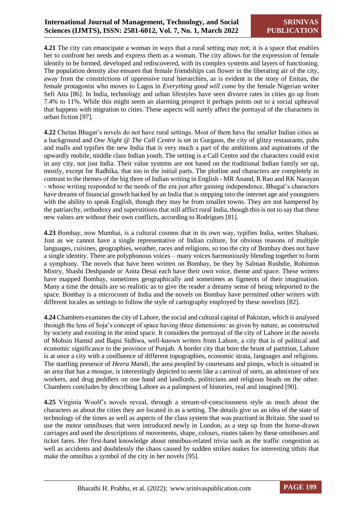**4.21** The city can emancipate a woman in ways that a rural setting may not; it is a space that enables her to confront her needs and express them as a woman. The city allows for the expression of female identity to be formed, developed and rediscovered, with its complex systems and layers of functioning. The population density also ensures that female friendships can flower in the liberating air of the city, away from the constrictions of oppressive rural hierarchies, as is evident in the story of Enitan, the female protagonist who moves to Lagos in *Everything good will come* by the female Nigerian writer Sefi Atta [86]. In India, technology and urban lifestyles have seen divorce rates in cities go up from 7.4% to 11%. While this might seem an alarming prospect it perhaps points out to a social upheaval that happens with migration to cities. These aspects will surely affect the portrayal of the characters in urban fiction [97].

**4.22** Chetan Bhagat's novels do not have rural settings. Most of them have the smaller Indian cities as a background and *One Night @ The Call Centre* is set in Gurgaon, the city of glitzy restaurants, pubs and malls and typifies the new India that is very much a part of the ambitions and aspirations of the upwardly mobile, middle class Indian youth. The setting is a Call Centre and the characters could exist in any city, not just India. Their value systems are not based on the traditional Indian family set up, mostly, except for Radhika, that too in the initial parts. The plotline and characters are completely in contrast to the themes of the big three of Indian writing in English - MR Anand, R Rao and RK Narayan - whose writing responded to the needs of the era just after gaining independence. Bhagat's characters have dreams of financial growth backed by an India that is stepping into the internet age and youngsters with the ability to speak English, though they may be from smaller towns. They are not hampered by the patriarchy, orthodoxy and superstitions that still afflict rural India, though this is not to say that these new values are without their own conflicts, according to Rodrigues [81].

**4.23** Bombay, now Mumbai, is a cultural cosmos that in its own way, typifies India, writes Shahani. Just as we cannot have a single representative of Indian culture, for obvious reasons of multiple languages, cuisines, geographies, weather, races and religions, so too the city of Bombay does not have a single identity. There are polyphonous voices – many voices harmoniously blending together to form a symphony. The novels that have been written on Bombay, be they by Salman Rushdie, Rohinton Mistry, Shashi Deshpande or Anita Desai each have their own voice, theme and space. These writers have mapped Bombay, sometimes geographically and sometimes as figments of their imagination. Many a time the details are so realistic as to give the reader a dreamy sense of being teleported to the space. Bombay is a microcosm of India and the novels on Bombay have permitted other writers with different locales as settings to follow the style of cartography employed by these novelists [82].

**4.24** Chambers examines the city of Lahore, the social and cultural capital of Pakistan, which is analysed through the lens of Soja's concept of space having three dimensions: as given by nature, as constructed by society and existing in the mind space. It considers the portrayal of the city of Lahore in the novels of Mohsin Hamid and Bapsi Sidhwa, well-known writers from Lahore, a city that is of political and economic significance to the province of Punjab. A border city that bore the brunt of partition, Lahore is at once a city with a confluence of different topographies, economic strata, languages and religions. The startling presence of *Heera Mandi,* the area peopled by courtesans and pimps, which is situated in an area that has a mosque, is interestingly depicted to seem like a carnival of sorts, an admixture of sex workers, and drug peddlers on one hand and landlords, politicians and religious heads on the other. Chambers concludes by describing Lahore as a palimpsest of histories, real and imagined [90].

**4.25** Virginia Woolf's novels reveal, through a stream-of-consciousness style as much about the characters as about the cities they are located in as a setting. The details give us an idea of the state of technology of the times as well as aspects of the class system that was practised in Britain. She used to use the motor omnibuses that were introduced newly in London, as a step up from the horse-drawn carriages and used the descriptions of movements, shape, colours, routes taken by these omnibuses and ticket fares. Her first-hand knowledge about omnibus-related trivia such as the traffic congestion as well as accidents and doubtlessly the chaos caused by sudden strikes makes for interesting titbits that make the omnibus a symbol of the city in her novels [95].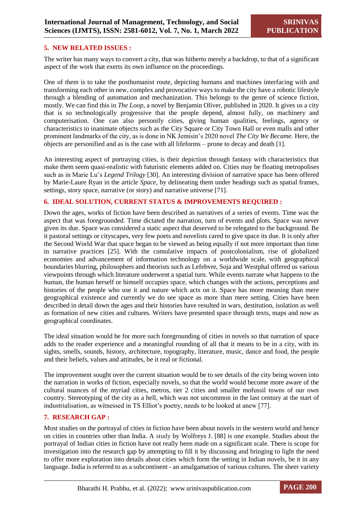#### **5. NEW RELATED ISSUES :**

The writer has many ways to convert a city, that was hitherto merely a backdrop, to that of a significant aspect of the work that exerts its own influence on the proceedings.

One of them is to take the posthumanist route, depicting humans and machines interfacing with and transforming each other in new, complex and provocative ways to make the city have a robotic lifestyle through a blending of automation and mechanization. This belongs to the genre of science fiction, mostly. We can find this in *The Loop*, a novel by Benjamin Oliver, published in 2020. It gives us a city that is so technologically progressive that the people depend, almost fully, on machinery and computerisation. One can also personify cities, giving human qualities, feelings, agency or characteristics to inanimate objects such as the City Square or City Town Hall or even malls and other prominent landmarks of the city, as is done in NK Jemisin's 2020 novel *The City We Became.* Here, the objects are personified and as is the case with all lifeforms – prone to decay and death [1].

An interesting aspect of portraying cities, is their depiction through fantasy with characteristics that make them seem quasi-realistic with futuristic elements added on. Cities may be floating metropolises such as in Marie Lu's *Legend Trilogy* [30]. An interesting division of narrative space has been offered by Marie-Laure Ryan in the article *Space*, by delineating them under headings such as spatial frames, settings, story space, narrative (or story) and narrative universe [71].

#### **6. IDEAL SOLUTION, CURRENT STATUS & IMPROVEMENTS REQUIRED :**

Down the ages, works of fiction have been described as narratives of a series of events. Time was the aspect that was foregrounded. Time dictated the narration, turn of events and plots. Space was never given its due. Space was considered a static aspect that deserved to be relegated to the background. Be it pastoral settings or cityscapes, very few poets and novelists cared to give space its due. It is only after the Second World War that space began to be viewed as being equally if not more important than time in narrative practices [25]. With the cumulative impacts of postcolonialism, rise of globalized economies and advancement of information technology on a worldwide scale, with geographical boundaries blurring, philosophers and theorists such as Lefebvre, Soja and Westphal offered us various viewpoints through which literature underwent a spatial turn. While events narrate what happens to the human, the human herself or himself occupies space, which changes with the actions, perceptions and histories of the people who use it and nature which acts on it. Space has more meaning than mere geographical existence and currently we do see space as more than mere setting. Cities have been described in detail down the ages and their histories have resulted in wars, destitution, isolation as well as formation of new cities and cultures. Writers have presented space through texts, maps and now as geographical coordinates.

The ideal situation would be for more such foregrounding of cities in novels so that narration of space adds to the reader experience and a meaningful rounding of all that it means to be in a city, with its sights, smells, sounds, history, architecture, topography, literature, music, dance and food, the people and their beliefs, values and attitudes, be it real or fictional.

The improvement sought over the current situation would be to see details of the city being woven into the narration in works of fiction, especially novels, so that the world would become more aware of the cultural nuances of the myriad cities, metros, tier 2 cities and smaller mofussil towns of our own country. Stereotyping of the city as a hell, which was not uncommon in the last century at the start of industrialisation, as witnessed in TS Elliot's poetry, needs to be looked at anew [77].

#### **7. RESEARCH GAP :**

Most studies on the portrayal of cities in fiction have been about novels in the western world and hence on cities in countries other than India. A study by Wolfreys J. [88] is one example. Studies about the portrayal of Indian cities in fiction have not really been made on a significant scale. There is scope for investigation into the research gap by attempting to fill it by discussing and bringing to light the need to offer more exploration into details about cities which form the setting in Indian novels, be it in any language. India is referred to as a subcontinent - an amalgamation of various cultures. The sheer variety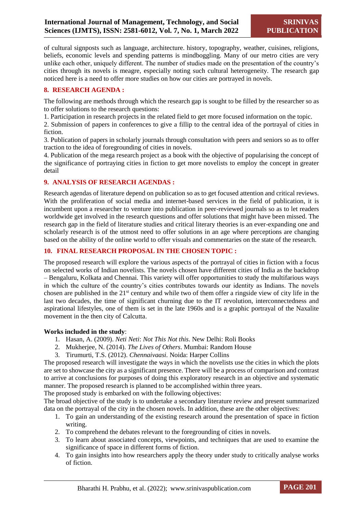of cultural signposts such as language, architecture. history, topography, weather, cuisines, religions, beliefs, economic levels and spending patterns is mindboggling. Many of our metro cities are very unlike each other, uniquely different. The number of studies made on the presentation of the country's cities through its novels is meagre, especially noting such cultural heterogeneity. The research gap noticed here is a need to offer more studies on how our cities are portrayed in novels.

#### **8. RESEARCH AGENDA :**

The following are methods through which the research gap is sought to be filled by the researcher so as to offer solutions to the research questions:

1. Participation in research projects in the related field to get more focused information on the topic.

2. Submission of papers in conferences to give a fillip to the central idea of the portrayal of cities in fiction.

3. Publication of papers in scholarly journals through consultation with peers and seniors so as to offer traction to the idea of foregrounding of cities in novels.

4. Publication of the mega research project as a book with the objective of popularising the concept of the significance of portraying cities in fiction to get more novelists to employ the concept in greater detail

#### **9. ANALYSIS OF RESEARCH AGENDAS :**

Research agendas of literature depend on publication so as to get focused attention and critical reviews. With the proliferation of social media and internet-based services in the field of publication, it is incumbent upon a researcher to venture into publication in peer-reviewed journals so as to let readers worldwide get involved in the research questions and offer solutions that might have been missed. The research gap in the field of literature studies and critical literary theories is an ever-expanding one and scholarly research is of the utmost need to offer solutions in an age where perceptions are changing based on the ability of the online world to offer visuals and commentaries on the state of the research.

#### **10. FINAL RESEARCH PROPOSAL IN THE CHOSEN TOPIC :**

The proposed research will explore the various aspects of the portrayal of cities in fiction with a focus on selected works of Indian novelists. The novels chosen have different cities of India as the backdrop – Bengaluru, Kolkata and Chennai. This variety will offer opportunities to study the multifarious ways in which the culture of the country's cities contributes towards our identity as Indians. The novels chosen are published in the 21st century and while two of them offer a ringside view of city life in the last two decades, the time of significant churning due to the IT revolution, interconnectedness and aspirational lifestyles, one of them is set in the late 1960s and is a graphic portrayal of the Naxalite movement in the then city of Calcutta.

#### **Works included in the study**:

- 1. Hasan, A. (2009). *Neti Neti*: *Not This Not this*. New Delhi: Roli Books
- 2. Mukherjee, N. (2014). *The Lives of Others*. Mumbai: Random House
- 3. Tirumurti, T.S. (2012). *Chennaivaasi.* Noida: Harper Collins

The proposed research will investigate the ways in which the novelists use the cities in which the plots are set to showcase the city as a significant presence. There will be a process of comparison and contrast to arrive at conclusions for purposes of doing this exploratory research in an objective and systematic manner. The proposed research is planned to be accomplished within three years.

The proposed study is embarked on with the following objectives:

The broad objective of the study is to undertake a secondary literature review and present summarized data on the portrayal of the city in the chosen novels. In addition, these are the other objectives:

- 1. To gain an understanding of the existing research around the presentation of space in fiction writing.
- 2. To comprehend the debates relevant to the foregrounding of cities in novels.
- 3. To learn about associated concepts, viewpoints, and techniques that are used to examine the significance of space in different forms of fiction.
- 4. To gain insights into how researchers apply the theory under study to critically analyse works of fiction.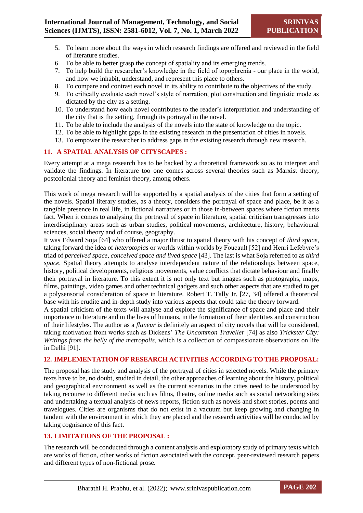- 5. To learn more about the ways in which research findings are offered and reviewed in the field of literature studies.
- 6. To be able to better grasp the concept of spatiality and its emerging trends.
- 7. To help build the researcher's knowledge in the field of topophrenia our place in the world, and how we inhabit, understand, and represent this place to others.
- 8. To compare and contrast each novel in its ability to contribute to the objectives of the study.
- 9. To critically evaluate each novel's style of narration, plot construction and linguistic mode as dictated by the city as a setting.
- 10. To understand how each novel contributes to the reader's interpretation and understanding of the city that is the setting, through its portrayal in the novel.
- 11. To be able to include the analysis of the novels into the state of knowledge on the topic.
- 12. To be able to highlight gaps in the existing research in the presentation of cities in novels.
- 13. To empower the researcher to address gaps in the existing research through new research.

#### **11. A SPATIAL ANALYSIS OF CITYSCAPES :**

Every attempt at a mega research has to be backed by a theoretical framework so as to interpret and validate the findings. In literature too one comes across several theories such as Marxist theory, postcolonial theory and feminist theory, among others.

This work of mega research will be supported by a spatial analysis of the cities that form a setting of the novels. Spatial literary studies, as a theory, considers the portrayal of space and place, be it as a tangible presence in real life, in fictional narratives or in those in-between spaces where fiction meets fact. When it comes to analysing the portrayal of space in literature, spatial criticism transgresses into interdisciplinary areas such as urban studies, political movements, architecture, history, behavioural sciences, social theory and of course, geography.

It was Edward Soja [64] who offered a major thrust to spatial theory with his concept of *third space,* taking forward the idea of *heterotopias* or worlds within worlds by Foucault [52] and Henri Lefebvre's triad of *perceived space, conceived space and lived space* [43]. The last is what Soja referred to as *third space.* Spatial theory attempts to analyse interdependent nature of the relationships between space, history, political developments, religious movements, value conflicts that dictate behaviour and finally their portrayal in literature. To this extent it is not only text but images such as photographs, maps, films, paintings, video games and other technical gadgets and such other aspects that are studied to get a polysensorial consideration of space in literature. Robert T. Tally Jr. [27, 34] offered a theoretical base with his erudite and in-depth study into various aspects that could take the theory forward.

A spatial criticism of the texts will analyse and explore the significance of space and place and their importance in literature and in the lives of humans, in the formation of their identities and construction of their lifestyles. The author as a *flaneur* is definitely an aspect of city novels that will be considered, taking motivation from works such as Dickens' *The Uncommon Traveller* [74] as also *Trickster City: Writings from the belly of the metropolis*, which is a collection of compassionate observations on life in Delhi [91].

#### **12. IMPLEMENTATION OF RESEARCH ACTIVITIES ACCORDING TO THE PROPOSAL:**

The proposal has the study and analysis of the portrayal of cities in selected novels. While the primary texts have to be, no doubt, studied in detail, the other approaches of learning about the history, political and geographical environment as well as the current scenarios in the cities need to be understood by taking recourse to different media such as films, theatre, online media such as social networking sites and undertaking a textual analysis of news reports, fiction such as novels and short stories, poems and travelogues. Cities are organisms that do not exist in a vacuum but keep growing and changing in tandem with the environment in which they are placed and the research activities will be conducted by taking cognisance of this fact.

#### **13. LIMITATIONS OF THE PROPOSAL :**

The research will be conducted through a content analysis and exploratory study of primary texts which are works of fiction, other works of fiction associated with the concept, peer-reviewed research papers and different types of non-fictional prose.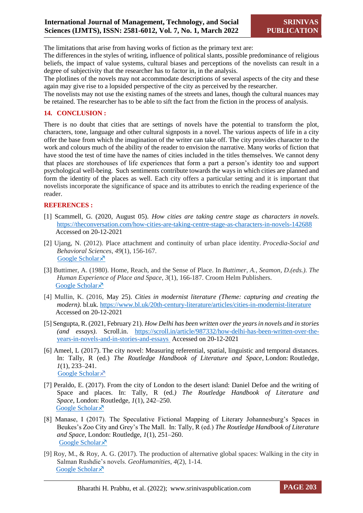The limitations that arise from having works of fiction as the primary text are:

The differences in the styles of writing, influence of political slants, possible predominance of religious beliefs, the impact of value systems, cultural biases and perceptions of the novelists can result in a degree of subjectivity that the researcher has to factor in, in the analysis.

The plotlines of the novels may not accommodate descriptions of several aspects of the city and these again may give rise to a lopsided perspective of the city as perceived by the researcher.

The novelists may not use the existing names of the streets and lanes, though the cultural nuances may be retained. The researcher has to be able to sift the fact from the fiction in the process of analysis.

#### **14. CONCLUSION :**

There is no doubt that cities that are settings of novels have the potential to transform the plot, characters, tone, language and other cultural signposts in a novel. The various aspects of life in a city offer the base from which the imagination of the writer can take off. The city provides character to the work and colours much of the ability of the reader to envision the narrative. Many works of fiction that have stood the test of time have the names of cities included in the titles themselves. We cannot deny that places are storehouses of life experiences that form a part a person's identity too and support psychological well-being. Such sentiments contribute towards the ways in which cities are planned and form the identity of the places as well. Each city offers a particular setting and it is important that novelists incorporate the significance of space and its attributes to enrich the reading experience of the reader.

#### **REFERENCES :**

- [1] Scammell, G. (2020, August 05). *How cities are taking centre stage as characters in novels.* <https://theconversation.com/how-cities-are-taking-centre-stage-as-characters-in-novels-142688> Accessed on 20-12-2021
- [2] Ujang, N. (2012). Place attachment and continuity of urban place identity. *Procedia-Social and Behavioral Sciences*, *49*(1), 156-167. [Google Scholar](https://scholar.google.com/scholar?hl=en&as_sdt=0%2C5&q=Ujang%2C+N.+%282012%29.+Place+attachment+and+continuity+of+urban+place+identity.+Procedia-Social+and+Behavioral+Sciences%2C+49%2C+156-167.+&btnG=) ×
- [3] Buttimer, A. (1980). Home, Reach, and the Sense of Place. In *Buttimer, A., Seamon, D.(eds.). The Human Experience of Place and Space*, *3*(1), 166-187. Croom Helm Publishers. [Google Scholar](https://scholar.google.com/scholar?hl=en&as_sdt=0%2C5&q=Buttimer%2C+A.+%281980%29.+Home%2C+Reach%2C+and+the+Sense+of+Place.+In+Buttimer%2C+A.%2C+Seamon%2C+D.%28eds.%29.+The+Human+Experience+of+Place+and+Space+%28pp.+166-187%29.+Croom+Helm+Publishers.&btnG=) ×
- [4] Mullin, K. (2016, May 25). *Cities in modernist literature (Theme: capturing and creating the modern).* bl.uk.<https://www.bl.uk/20th-century-literature/articles/cities-in-modernist-literature> Accessed on 20-12-2021
- [5] Sengupta, R. (2021, February 21). *How Delhi has been written over the years in novels and in stories (and essays)*. Scroll.in. [https://scroll.in/article/987332/how-delhi-has-been-written-over-the](https://scroll.in/article/987332/how-delhi-has-been-written-over-the-years-in-novels-and-in-stories-and-essays%20%20Accessed%20on%2020-12-2021)[years-in-novels-and-in-stories-and-essays Accessed](https://scroll.in/article/987332/how-delhi-has-been-written-over-the-years-in-novels-and-in-stories-and-essays%20%20Accessed%20on%2020-12-2021) on 20-12-2021
- [6] Ameel, L (2017). The city novel: Measuring referential, spatial, linguistic and temporal distances. In: Tally, R (ed.) *The Routledge Handbook of Literature and Space*, London: Routledge, *1*(1), 233–241. [Google Scholar](https://scholar.google.com/scholar?hl=en&as_sdt=0%2C5&q=Ameel%2C+L+%282017%29+The+city+novel%3A+Measuring+referential%2C+spatial%2C+linguistic+and+temporal+distances.+In%3A+Tally%2C+R+%28ed.%29+The+Routledge+Handbook+of+Literature+and+Space%2C+London%3A+Routledge%2C+pp.+233%E2%80%93241.&btnG=) ×
- [7] Peraldo, E. (2017). From the city of London to the desert island: Daniel Defoe and the writing of Space and places. In: Tally, R (ed*.) The Routledge Handbook of Literature and Space*, London: Routledge, *1*(1), 242–250. [Google Scholar](https://scholar.google.com/scholar?hl=en&as_sdt=0%2C5&q=Peraldo%2C+E+%282017%29+From+the+city+of+London+to+the+desert+island+%3A+Daniel+Defoe+and+the+writing+of+Space+and+places.+In%3A+Tally%2C+R+%28ed.%29+The+Routledge+Handbook+of+Literature+and+Space%2C%C2%A0London%3A%C2%A0Routledge%2C+pp.%C2%A0242%E2%80%93250.&btnG=) ×
- [8] Manase, I (2017). The Speculative Fictional Mapping of Literary Johannesburg's Spaces in Beukes's Zoo City and Grey's The Mall. In: Tally, R (ed.) *The Routledge Handbook of Literature and Space*, London: Routledge, *1*(1), 251–260. [Google Scholar](https://scholar.google.com/scholar?hl=en&as_sdt=0%2C5&q=Manase%2C+I+%282017%29.+The+Speculative+Fictional+Mapping+of+Literary+Johannesburg%E2%80%99s+Spaces+in+Beukes%E2%80%99s+Zoo+City+and+Grey%E2%80%99s+The+Mall.++In%3A+Tally%2C+R+%28ed.%29+The+Routledge+Handbook+of+Literature+and+Space%2C+London%3A+Routledge%2C+pp.+251%E2%80%93260.+.&btnG=) ×
- [9] Roy, M., & Roy, A. G. (2017). The production of alternative global spaces: Walking in the city in Salman Rushdie's novels. *GeoHumanities*, *4*(2), 1-14. [Google Scholar](https://scholar.google.com/scholar?hl=en&as_sdt=0%2C5&q=Roy%2C+M.%2C+%26+Roy%2C+A.+G.+%282017%29.+The+production+of+alternative+global+spaces%3A+Walking+in+the+city+in+Salman+Rushdie%E2%80%99s+novels.%C2%A0GeoHumanities%2C%C2%A04%282%29%2C+1-14.+&btnG=) ×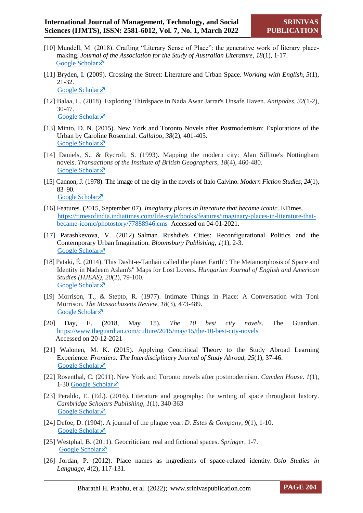- [10] Mundell, M. (2018). Crafting "Literary Sense of Place": the generative work of literary placemaking. *Journal of the Association for the Study of Australian Literature*, *18*(1), 1-17. [Google Scholar](https://scholar.google.com/scholar?hl=en&as_sdt=0%2C5&q=Mundell%2C+M.+%282018%29.+Crafting+%E2%80%9CLiterary+Sense+of+Place%E2%80%9D%3A+the+generative+work+of+literary+place-making.+Journal+of+the+Association+for+the+Study+of+Australian+Literature%2C+18%281%29%2C+1-17.&btnG=) ×
- [11] Bryden, I. (2009). Crossing the Street: Literature and Urban Space. *Working with English*, *5*(1), 21-32. [Google Scholar](https://scholar.google.com/scholar?hl=en&as_sdt=0%2C5&q=Bryden%2C+I.+%282009%29.+Crossing+the+Street%3A+Literature+and+Urban+Space.+Working+with+English%2C+5%281%29%2C+21-32.&btnG=) ×
- [12] Balaa, L. (2018). Exploring Thirdspace in Nada Awar Jarrar's Unsafe Haven. *Antipodes*, *32*(1-2), 30-47. [Google Scholar](https://scholar.google.com/scholar?hl=en&as_sdt=0%2C5&q=Exploring+Thirdspace+in+Nada+Awar+Jarrar%27s+Unsafe+Haven+Luma+Balaa&btnG=#d=gs_cit&u=%2Fscholar%3Fq%3Dinfo%3APs_KtfitzCsJ%3Ascholar.google.com%2F%26output%3Dcite%26scirp%3D0%26hl%3Den) ×
- [13] Minto, D. N. (2015). New York and Toronto Novels after Postmodernism: Explorations of the Urban by Caroline Rosenthal. *Callaloo*, *38*(2), 401-405. [Google Scholar](https://scholar.google.com/scholar?hl=en&as_sdt=0%2C5&q=Minto%2C+D.+N.+%282015%29.+New+York+and+Toronto+Novels+after+Postmodernism%3A+Explorations+of+the+Urban+by+Caroline+Rosenthal.+Callaloo%2C+38%282%29%2C+401-405.&btnG=) ×
- [14] Daniels, S., & Rycroft, S. (1993). Mapping the modern city: Alan Sillitoe's Nottingham novels. *Transactions of the Institute of British Geographers*, *18*(4), 460-480. [Google Scholar](https://scholar.google.com/scholar?hl=en&as_sdt=0%2C5&q=Daniels%2C+S.%2C+%26+Rycroft%2C+S.+%281993%29.+Mapping+the+modern+city%3A+Alan+Sillitoe%27s+Nottingham+novels.+Transactions+of+the+Institute+of+British+Geographers%2C+460-480.&btnG=) ×
- [15] Cannon, J. (1978). The image of the city in the novels of Italo Calvino. *Modern Fiction Studies*, *24*(1), 83–90. [Google Scholar](https://scholar.google.com/scholar?hl=en&as_sdt=0%2C5&q=Cannon%2C+J.+%281978%29.+The+image+of+the+city+in+the+novels+of+Italo+Calvino.+Modern+Fiction+Studies%2C+24%281%29%2C+83%E2%80%9390.&btnG=) ×
- [16] Features. (2015, September 07), *Imaginary places in literature that became iconic*. ETimes. [https://timesofindia.indiatimes.com/life-style/books/features/imaginary-places-in-literature-that](https://timesofindia.indiatimes.com/life-style/books/features/imaginary-places-in-literature-that-became-iconic/photostory/77888946.cms)[became-iconic/photostory/77888946.cms](https://timesofindia.indiatimes.com/life-style/books/features/imaginary-places-in-literature-that-became-iconic/photostory/77888946.cms) Accessed on 04-01-2021.
- [17] Parashkevova, V. (2012). Salman Rushdie's Cities: Reconfigurational Politics and the Contemporary Urban Imagination. *Bloomsbury Publishing*, *1*(1), 2-3. [Google Scholar](https://scholar.google.com/scholar?hl=en&as_sdt=0%2C5&q=Parashkevova%2C+V.+%282012%29.+Salman+Rushdie%27s+Cities%3A+Reconfigurational+Politics+and+the+Contemporary+Urban+Imagination.+Bloomsbury+Publishing%2C+2-3.&btnG=)<sup> $\lambda$ </sup>
- [18] Pataki, É. (2014). This Dasht-e-Tanhaii called the planet Earth": The Metamorphosis of Space and Identity in Nadeem Aslam's" Maps for Lost Lovers. *Hungarian Journal of English and American Studies (HJEAS)*, *20*(2), 79-100. [Google Scholar](https://scholar.google.com/scholar?hl=en&as_sdt=0%2C5&q=Pataki%2C+%C3%89.+%282014%29.+This+Dasht-e-Tanhaii+called+the+planet+Earth%22%3A+The+Metamorphosis+of+Space+and+Identity+in+Nadeem+Aslam%27s%22+Maps+for+Lost+Lovers.+Hungarian+Journal+of+English+and+American+Studies+%28HJEAS%29%2C+79-100.+&btnG=) ×
- [19] Morrison, T., & Stepto, R. (1977). Intimate Things in Place: A Conversation with Toni Morrison. *The Massachusetts Review*, *18*(3), 473-489. [Google Scholar](https://scholar.google.com/scholar?hl=en&as_sdt=0%2C5&q=Morrison%2C+T.%2C+%26+Stepto%2C+R.+%281977%29.+%22+Intimate+Things+in+Place%22%3A+A+Conversation+with+Toni+Morrison.+The+Massachusetts+Review%2C+18%283%29%2C+473-489.+&btnG=) ×
- [20] Day, E. (2018, May 15). *The 10 best city novels*. The Guardian. <https://www.theguardian.com/culture/2015/may/15/the-10-best-city-novels> Accessed on 20-12-2021
- [21] Walonen, M. K. (2015). Applying Geocritical Theory to the Study Abroad Learning Experience. *Frontiers: The Interdisciplinary Journal of Study Abroad*, *25*(1), 37-46. [Google Scholar](https://scholar.google.com/scholar?hl=en&as_sdt=0%2C5&q=Walonen%2C+M.+K.+%282015%29.+Applying+Geocritical+Theory+to+the+Study+Abroad+Learning+Experience.+Frontiers%3A+The+Interdisciplinary+Journal+of+Study+Abroad%2C+25%281%29%2C+37-46.+&btnG=) ×
- [22] Rosenthal, C. (2011). New York and Toronto novels after postmodernism. *Camden House*. *1*(1), 1-30 [Google Scholar](https://scholar.google.com/scholar?hl=en&as_sdt=0%2C5&q=Rosenthal%2C+C.+%282011%29.+New+York+and+Toronto+novels+after+postmodernism.+Camden+House%2C+1-30&btnG=) $\lambda$
- [23] Peraldo, E. (Ed.). (2016). Literature and geography: the writing of space throughout history. *Cambridge Scholars Publishing*, *1*(1), 340-363 [Google Scholar](https://scholar.google.com/scholar?hl=en&as_sdt=0%2C5&q=Peraldo%2C+E.+%28Ed.%29.+%282016%29.+Literature+and+geography%3A+the+writing+of+space+throughout+history.+Cambridge+Scholars+Publishing%2C+340-363&btnG=)<sup> $\lambda$ </sup>
- [24] Defoe, D. (1904). A journal of the plague year. *D. Estes & Company*, *9*(1), 1-10. [Google Scholar](https://scholar.google.com/scholar?hl=en&as_sdt=0%2C5&q=Defoe%2C+D.+%281904%29.+A+journal+of+the+plague+year+%28Vol.+9%29.+D.+Estes+%26+Company%2C+1-10.&btnG=) ×
- [25] Westphal, B. (2011). Geocriticism: real and fictional spaces. *Springer*, 1-7. [Google Scholar](https://scholar.google.com/scholar?hl=en&as_sdt=0%2C5&scioq=Tally+Jr%2C+R.+T.+%282011%29.+geocriticism&q=Westphal%2C+B.+%282011%29.+Geocriticism%3A+real+and+fictional+spaces.+Springer.&btnG=) ×
- [26] Jordan, P. (2012). Place names as ingredients of space-related identity. *Oslo Studies in Language*, *4*(2), 117-131.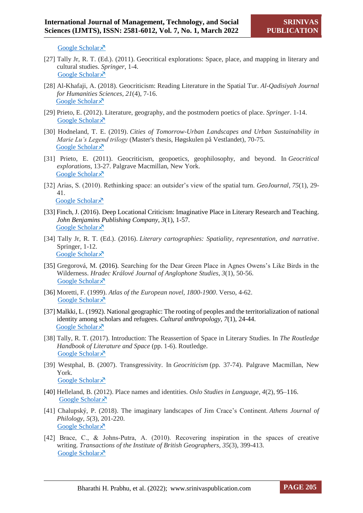[Google Scholar](https://scholar.google.com/scholar?hl=en&as_sdt=0%2C5&q=Jordan%2C+P.+%282012%29.+Place+names+as+ingredients+of+space-related+identity.+Oslo+Studies+in+Language%2C+4%282%29%2C+117-131.&btnG=)  $\lambda$ 

- [27] Tally Jr, R. T. (Ed.). (2011). Geocritical explorations: Space, place, and mapping in literary and cultural studies. *Springer*, 1-4. [Google Scholar](https://scholar.google.com/scholar?hl=en&as_sdt=0%2C5&q=Tally+Jr%2C+R.+T.+%28Ed.%29.+%282011%29.+Geocritical+explorations%3A+Space%2C+place%2C+and+mapping+in+literary+and+cultural+studies.+Springer%2C+1-4&btnG=)<sup> $\lambda$ </sup>
- [28] Al-Khafaji, A. (2018). Geocriticism: Reading Literature in the Spatial Tur. *Al-Qadisiyah Journal for Humanities Sciences*, *21*(4), 7-16. [Google Scholar](https://scholar.google.com/scholar?hl=en&as_sdt=0%2C5&q=%5D+Al-Khafaji%2C+A.+%282018%29.+Geocriticism%3A+Reading+Literature+in+the+Spatial+Tur.+Al-Qadisiyah+Journal+for+Humanities+Sciences%2C+21%284%29%2C+7-16&btnG=) ×
- [29] Prieto, E. (2012). Literature, geography, and the postmodern poetics of place. *Springer*. 1-14. [Google Scholar](https://scholar.google.com/scholar?q=Prieto,+E.+(2012).+Literature,+geography,+and+the+postmodern+poetics+of+place.+Springer,+1-14&hl=en&as_sdt=0,5) ×
- [30] Hodneland, T. E. (2019). *Cities of Tomorrow-Urban Landscapes and Urban Sustainability in Marie Lu's Legend trilogy* (Master's thesis, Høgskulen på Vestlandet), 70-75. [Google Scholar](https://scholar.google.com/scholar?hl=en&as_sdt=0%2C5&q=Hodneland%2C+T.+E.+%282019%29.+Cities+of+Tomorrow-Urban+Landscapes+and+Urban+Sustainability+in+Marie+Lu%E2%80%99s+Legend+trilogy+%28Master%27s+thesis%2C+H%C3%B8gskulen+p%C3%A5+Vestlandet%29.&btnG=)<sup> $\lambda$ </sup>
- [31] Prieto, E. (2011). Geocriticism, geopoetics, geophilosophy, and beyond. In *Geocritical explorations,* 13-27. Palgrave Macmillan, New York. [Google Scholar](https://scholar.google.com/scholar?hl=en&as_sdt=0%2C5&q=Prieto%2C+E.+%282011%29.+Geocriticism%2C+geopoetics%2C+geophilosophy%2C+and+beyond.+In+Geocritical+explorations+%28pp.+13-27%29.+Palgrave+Macmillan%2C+New+York.&btnG=) $\lambda$
- [32] Arias, S. (2010). Rethinking space: an outsider's view of the spatial turn. *GeoJournal*, *75*(1), 29- 41. [Google Scholar](https://scholar.google.com/scholar?hl=en&as_sdt=0%2C5&q=Rethinking+space%3A+an+outsider%E2%80%99s+view+of+the+spatial+turn+Santa+Aria&btnG=#d=gs_cit&u=%2Fscholar%3Fq%3Dinfo%3A4OOja2EwjmUJ%3Ascholar.google.com%2F%26output%3Dcite%26scirp%3D0%26hl%3Den) ×
- [33] Finch, J. (2016). Deep Locational Criticism: Imaginative Place in Literary Research and Teaching. *John Benjamins Publishing Company*, *3*(1), 1-57. [Google Scholar](https://scholar.google.com/scholar?hl=en&as_sdt=0%2C5&q=Finch%2C+J.+%282016%29.+Deep+Locational+Criticism%3A+Imaginative+Place+in+Literary+Research+and+Teaching+%28Vol.+3%29.+John+Benjamins+Publishing+Company%2C+1-57&btnG=)<sup> $\lambda$ </sup>
- [34] Tally Jr, R. T. (Ed.). (2016). *Literary cartographies: Spatiality, representation, and narrative*. Springer, 1-12. [Google Scholar](https://scholar.google.com/scholar?hl=en&as_sdt=0%2C5&q=Tally+Jr%2C+R.+T.+%28Ed.%29.+%282016%29.+Literary+cartographies%3A+Spatiality%2C+representation%2C+and+narrative.+Springer%2C+1-12&btnG=) ×
- [35] Gregorová, M. (2016). Searching for the Dear Green Place in Agnes Owens's Like Birds in the Wilderness. *Hradec Králové Journal of Anglophone Studies*, *3*(1), 50-56. [Google Scholar](https://scholar.google.com/scholar?hl=en&as_sdt=0%2C5&q=Gregorov%C3%A1%2C+M.+%282016%29.+Searching+for+the+Dear+Green+Place+in+Agnes+Owens%E2%80%99s+Like+Birds+in+the+Wilderness.+Hradec+Kr%C3%A1lov%C3%A9+Journal+of+Anglophone+Studies%2C+3%281%29%2C+50-56.+&btnG=) ×
- [36] Moretti, F. (1999). *Atlas of the European novel, 1800-1900*. Verso, 4-62. [Google Scholar](https://scholar.google.com/scholar?hl=en&as_sdt=0%2C5&q=Moretti%2C+F.+%281999%29.+Atlas+of+the+European+novel%2C+1800-1900.+Verso%2C+4-62&btnG=)<sup> $\lambda$ </sup>
- [37] Malkki, L. (1992). National geographic: The rooting of peoples and the territorialization of national identity among scholars and refugees. *Cultural anthropology*, *7*(1), 24-44. [Google Scholar](https://scholar.google.com/scholar?hl=en&as_sdt=0%2C5&q=Malkki%2C+L.+%281992%29.+National+geographic%3A+The+rooting+of+peoples+and+the+territorialization+of+national+identity+among+scholars+and+refugees.%C2%A0Cultural+anthropology%2C%C2%A07%281%29%2C+24-44.&btnG=) ×
- [38] Tally, R. T. (2017). Introduction: The Reassertion of Space in Literary Studies. In *The Routledge Handbook of Literature and Space* (pp. 1-6). Routledge. [Google Scholar](https://scholar.google.com/scholar?hl=en&as_sdt=0%2C5&q=Tally%2C+R.+T.+%282017%29.+Introduction%3A+The+Reassertion+of+Space+in+Literary+Studies.+In+The+Routledge+Handbook+of+Literature+and+Space+%28pp.+1-6%29.+Routledge.&btnG=) ×
- [39] Westphal, B. (2007). Transgressivity. In *Geocriticism* (pp. 37-74). Palgrave Macmillan, New York. [Google Scholar](https://scholar.google.com/scholar?hl=en&as_sdt=0%2C5&q=Westphal%2C+B.+%282007%29.+Transgressivity.+&btnG=) $\lambda$
- [40] Helleland, B. (2012). Place names and identities. *Oslo Studies in Language*, *4*(2), 95–116. [Google Scholar](https://scholar.google.com/scholar?hl=en&as_sdt=0%2C5&q=%5D+Helleland%2C+B.+%282012%29.+Place+names+and+identities.+Oslo+Studies+in+Language%2C+4%282%29%2C+95%E2%80%93116&btnG=) ×
- [41] Chalupský, P. (2018). The imaginary landscapes of Jim Crace's Continent. *Athens Journal of Philology*, *5*(3), 201-220. [Google Scholar](https://scholar.google.com/scholar?hl=en&as_sdt=0%2C5&q=Chalupsk%C3%BD%2C+P.+%282018%29.+The+imaginary+landscapes+of+Jim+Crace%E2%80%99s+Continent.+Athens+Journal+of+Philology%2C+5%283%29%2C+201-220.&btnG=) ×
- [42] Brace, C., & Johns-Putra, A. (2010). Recovering inspiration in the spaces of creative writing. *Transactions of the Institute of British Geographers*, *35*(3), 399-413. [Google Scholar](https://scholar.google.com/scholar?hl=en&as_sdt=0%2C5&q=Brace%2C+C.%2C+%26+Johns%E2%80%90Putra%2C+A.+%282010%29.+Recovering+inspiration+in+the+spaces+of+creative+writing.+Transactions+of+the+Institute+of+British+Geographers%2C+35%283%29%2C+399-413.&btnG=) ×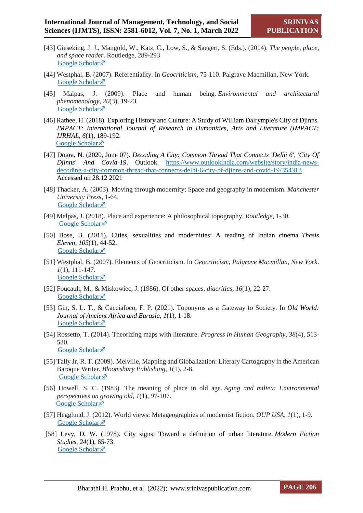- [43] Gieseking, J. J., Mangold, W., Katz, C., Low, S., & Saegert, S. (Eds.). (2014). *The people, place, and space reader*. Routledge, 289-293 [Google Scholar](https://books.google.co.in/books?hl=en&lr=&id=b9WWAwAAQBAJ&oi=fnd&pg=PP1&dq=The+people+space+and+place+reader+&ots=KW_uDMnuxf&sig=tTMoUNekaadtM-uP3vjdP5wnApE&redir_esc=y#v=onepage&q=The%20people%20space%20and%20place%20reader&f=false) ×
- [44] Westphal, B. (2007). Referentiality. In *Geocriticism,* 75-110. Palgrave Macmillan, New York. [Google Scholar](https://scholar.google.com/scholar?hl=en&as_sdt=0%2C5&q=Westphal%2C+B.+%282007%29.+Referentiality.&btnG=) $\lambda$
- [45] Malpas, J. (2009). Place and human being. *Environmental and architectural phenomenology*, *20*(3), 19-23. [Google Scholar](https://scholar.google.com/scholar?hl=en&as_sdt=0%2C5&q=Malpas%2C+J.+%282009%29.+Place+and+human+being.+Environmental+and+architectural+phenomenology%2C+20%283%29%2C+19-23.&btnG=) ×
- [46] Rathee, H. (2018). Exploring History and Culture: A Study of William Dalrymple's City of Djinns. *IMPACT: International Journal of Research in Humanities, Arts and Literature (IMPACT: IJRHAL*, *6*(1), 189-192. [Google Scholar](https://scholar.google.com/scholar?hl=en&as_sdt=0%2C5&q=Rathee%2C+H.+%282018%29.+Exploring+History+and+Culture%3A+A+Study+of+William+Dalrymple%27s+City+of+Djinns.+IMPACT%3A+International+Journal+of+Research+in+Humanities%2C+Arts+and+Literature+%28IMPACT%3A+IJRHAL%2C+6%281%29%2C+189-192.&btnG=)<sup> $\lambda$ </sup>
- [47] Dogra, N. (2020, June 07). *Decoding A City: Common Thread That Connects 'Delhi 6', 'City Of Djinns' And Covid-19*. Outlook. [https://www.outlookindia.com/website/story/india-news](https://www.outlookindia.com/website/story/india-news-decoding-a-city-common-thread-that-connects-delhi-6-city-of-djinns-and-covid-19/354313)[decoding-a-city-common-thread-that-connects-delhi-6-city-of-djinns-and-covid-19/354313](https://www.outlookindia.com/website/story/india-news-decoding-a-city-common-thread-that-connects-delhi-6-city-of-djinns-and-covid-19/354313) Accessed on 28.12 2021
- [48] Thacker, A. (2003). Moving through modernity: Space and geography in modernism. *Manchester University Press*, 1-64. [Google Scholar](https://scholar.google.com/scholar?hl=en&as_sdt=0%2C5&q=Thacker%2C+A.+%282003%29.+Moving+through+modernity%3A+Space+and+geography+in+modernism.+Manchester+University+Press%2C+1-64&btnG=) ×
- [49] Malpas, J. (2018). Place and experience: A philosophical topography. *Routledge*, 1-30. [Google Scholar](https://scholar.google.com/scholar?hl=en&as_sdt=0%2C5&q=Malpas%2C+J.+%282018%29.+Place+and+experience%3A+A+philosophical+topography.+Routledge%2C+1-30&btnG=) ×
- [50] Bose, B. (2011). Cities, sexualities and modernities: A reading of Indian cinema. *Thesis Eleven*, *105*(1), 44-52. [Google Scholar](https://scholar.google.com/scholar?hl=en&as_sdt=0%2C5&q=Bose%2C+B.+%282011%29.+Cities%2C+sexualities+and+modernities%3A+A+reading+of+Indian+cinema.+Thesis+Eleven%2C+105%281%29%2C+44-52.&btnG=) ×
- [51] Westphal, B. (2007). Elements of Geocriticism. In *Geocriticism*, *Palgrave Macmillan, New York*. *1*(1), 111-147. [Google Scholar](https://scholar.google.com/scholar?hl=en&as_sdt=0%2C5&q=Westphal%2C+B.+%282007%29.+Elements+of+Geocriticism.+In+Geocriticism+%28pp.+111-147%29.+Palgrave+Macmillan%2C+New+York.&btnG=#d=gs_cit&u=%2Fscholar%3Fq%3Dinfo%3A3bGJMfrRD7EJ%3Ascholar.google.com%2F%26output%3Dcite%26scirp%3D0%26hl%3Den) ×
- [52] Foucault, M., & Miskowiec, J. (1986). Of other spaces. *diacritics*, *16*(1), 22-27. [Google Scholar](https://scholar.google.com/scholar?hl=en&as_sdt=0%2C5&q=Foucault%2C+M.%2C+%26+Miskowiec%2C+J.+%281986%29.+Of+other+spaces.+diacritics%2C+16%281%29%2C+22-27.&btnG=) ×
- [53] Gin, S. L. T., & Cacciafoco, F. P. (2021). Toponyms as a Gateway to Society. In *Old World: Journal of Ancient Africa and Eurasia, 1*(1)*,* 1-18. [Google Scholar](https://scholar.google.com/scholar?hl=en&as_sdt=0%2C5&q=Gin%2C+S.+L.+T.%2C+%26+Cacciafoco%2C+F.+P.+%282021%29.+Toponyms+as+a+Gateway+to+Society.+In+Old+World%3A+Journal+of+Ancient+Africa+and+Eurasia%2C+1%281%29%2C+1-18&btnG=) $\lambda$
- [54] Rossetto, T. (2014). Theorizing maps with literature. *Progress in Human Geography*, *38*(4), 513- 530. [Google Scholar](https://scholar.google.com/scholar?hl=en&as_sdt=0%2C5&q=Rossetto%2C+T.+%282014%29.+Theorizing+maps+with+literature.+Progress+in+Human+Geography%2C+38%284%29%2C+513-530.&btnG=) ×
- [55] Tally Jr, R. T. (2009). Melville, Mapping and Globalization: Literary Cartography in the American Baroque Writer. *Bloomsbury Publishing*, *1*(1), 2-8. [Google Scholar](https://scholar.google.com/scholar?hl=en&as_sdt=0%2C5&q=Tally+Jr%2C+R.+T.+%282009%29.+Melville%2C+Mapping+and+Globalization%3A+Literary+Cartography+in+the+American+Baroque+Writer.+Bloomsbury+Publishing%2C+2-8&btnG=) ×
- [56] Howell, S. C. (1983). The meaning of place in old age. *Aging and milieu: Environmental perspectives on growing old*, *1*(1), 97-107. [Google Scholar](https://scholar.google.com/scholar?q=Howell,+S.+C.+(1983).+The+meaning+of+place+in+old+age.+Aging+and+milieu:+Environmental+perspectives+on+growing+old,+97-107.&hl=en&as_sdt=0,5) ×
- [57] Hegglund, J. (2012). World views: Metageographies of modernist fiction. *OUP USA*, *1*(1), 1-9. [Google Scholar](https://scholar.google.com/scholar?hl=en&as_sdt=0%2C5&q=Hegglund%2C+J.+%282012%29.+World+views%3A+Metageographies+of+modernist+fiction.+OUP+USA%2C+1-9+%5B58%5D+Levy%2C+D.+W.+%281978%29.+City+signs%3A+Toward+a+definition+of+urban+literature.+Modern+Fiction+Studies%2C+24%281%29%2C+65-73+&btnG=) ×
- [\[](https://scholar.google.com/scholar?hl=en&as_sdt=0%2C5&q=Hegglund%2C+J.+%282012%29.+World+views%3A+Metageographies+of+modernist+fiction.+OUP+USA%2C+1-9+%5B58%5D+Levy%2C+D.+W.+%281978%29.+City+signs%3A+Toward+a+definition+of+urban+literature.+Modern+Fiction+Studies%2C+24%281%29%2C+65-73+&btnG=)58] Levy, D. W. (1978). City signs: Toward a definition of urban literature. *Modern Fiction Studies*, *24*(1), 65-73. [Google Scholar](https://scholar.google.com/scholar?hl=en&as_sdt=0%2C5&q=Levy%2C+D.+W.+%281978%29.+City+signs%3A+Toward+a+definition+of+urban+literature.+Modern+Fiction+Studies%2C+24%281%29%2C+65-73+&btnG=) ×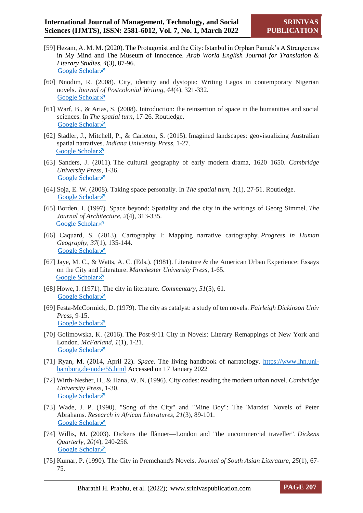- [59] Hezam, A. M. M. (2020). The Protagonist and the City: Istanbul in Orphan Pamuk's A Strangeness in My Mind and The Museum of Innocence. *Arab World English Journal for Translation & Literary Studies, 4*(3), 87-96. [Google Scholar](https://scholar.google.com/scholar?hl=en&as_sdt=0%2C5&q=Hezam%2C+A.+M.+M.+%282020%29.+The+Protagonist+and+the+City%3A+Istanbul+in+Orphan+Pamuk%E2%80%99s+A+Strangeness+in+My+Mind+and+The+Museum+of+Innocence.+Arab+World+English+Journal+for+Translation+%26+Literary+Studies%2C+4+%283%29.+87-96+&btnG=) ×
- [60] Nnodim, R. (2008). City, identity and dystopia: Writing Lagos in contemporary Nigerian novels. *Journal of Postcolonial Writing*, *44*(4), 321-332. [Google Scholar](https://scholar.google.com/scholar?hl=en&as_sdt=0%2C5&q=City%2C+identity+and+dystopia%3A+Writing+Lagos+in+contemporary+Nigerian+novels1+Rita+Nnodim&btnG=) ×
- [61] Warf, B., & Arias, S. (2008). Introduction: the reinsertion of space in the humanities and social sciences. In *The spatial turn*, 17-26. Routledge. [Google Scholar](https://scholar.google.com/scholar?hl=en&as_sdt=0%2C5&q=Warf%2C+B.%2C+%26+Arias%2C+S.+%282008%29.+Introduction%3A+the+reinsertion+of+space+in+the+humanities+and+social+sciences.+In+The+spatial+turn+%28pp.+17-26%29.+Routledge.+&btnG=)<sup> $\lambda$ </sup>
- [62] Stadler, J., Mitchell, P., & Carleton, S. (2015). Imagined landscapes: geovisualizing Australian spatial narratives. *Indiana University Press*, 1-27. [Google Scholar](https://scholar.google.com/scholar?hl=en&as_sdt=0%2C5&q=Stadler%2C+J.%2C+Mitchell%2C+P.%2C+%26+Carleton%2C+S.+%282015%29.+Imagined+landscapes%3A+geovisualizing+Australian+spatial+narratives.+Indiana+University+Press%2C+1-27&btnG=) ×
- [63] Sanders, J. (2011). The cultural geography of early modern drama, 1620–1650. *Cambridge University Press,* 1-36. [Google Scholar](https://scholar.google.com/scholar?hl=en&as_sdt=0%2C5&q=Sanders%2C+J.+%282011%29.+The+cultural+geography+of+early+modern+drama%2C+1620%E2%80%931650.+Cambridge+University+Press%2C+1-36&btnG=) ×
- [64] Soja, E. W. (2008). Taking space personally. In *The spatial turn*, *1*(1), 27-51. Routledge. [Google Scholar](https://scholar.google.com/scholar?hl=en&as_sdt=0%2C5&q=Soja%2C+E.+W.+%282008%29.+Taking+space+personally.+In+The+spatial+turn+%28pp.+27-51%29.+Routledge.&btnG=) ×
- [65] Borden, I. (1997). Space beyond: Spatiality and the city in the writings of Georg Simmel. *The Journal of Architecture*, *2*(4), 313-335. [Google Scholar](https://scholar.google.com/scholar?hl=en&as_sdt=0%2C5&q=space+beyond+spatiality+and+the+city+in+the+writings+of+Georg+simmel+lain+borden&btnG=#d=gs_cit&u=%2Fscholar%3Fq%3Dinfo%3AaRBxq5IteXoJ%3Ascholar.google.com%2F%26output%3Dcite%26scirp%3D0%26hl%3Den) ×
- [66] Caquard, S. (2013). Cartography I: Mapping narrative cartography. *Progress in Human Geography*, *37*(1), 135-144. [Google Scholar](https://scholar.google.com/scholar?hl=en&as_sdt=0%2C5&q=Caquard%2C+S.+%282013%29.+Cartography+I%3A+Mapping+narrative+cartography.+Progress+in+Human+Geography%2C+37%281%29%2C+135-144.&btnG=) ×
- [67] Jaye, M. C., & Watts, A. C. (Eds.). (1981). Literature & the American Urban Experience: Essays on the City and Literature. *Manchester University Press*, 1-65. [Google Scholar](https://scholar.google.com/scholar?q=Jaye,+M.+C.,+%26+Watts,+A.+C.+(Eds.).+(1981).+Literature+%26+the+American+Urban+Experience:+Essays+on+the+City+and+Literature.+Manchester+University+Press,+1-65.&hl=en&as_sdt=0,5)<sup> $\lambda$ </sup>
- [68] Howe, I. (1971). The city in literature. *Commentary*, *51*(5), 61. [Google Scholar](https://scholar.google.com/scholar?hl=en&as_sdt=0%2C5&q=Howe%2C+I.+%281971%29.+The+city+in+literature.+Commentary%2C+51%285%29%2C+61.&btnG=) ×
- [69] Festa-McCormick, D. (1979). The city as catalyst: a study of ten novels. *Fairleigh Dickinson Univ Press*, 9-15. [Google Scholar](https://scholar.google.com/scholar?hl=en&as_sdt=0%2C5&q=Festa-McCormick%2C+D.+%281979%29.+The+city+as+catalyst%3A+a+study+of+ten+novels.+Fairleigh+Dickinson+Univ+Press%2C+9-15&btnG=) ×
- [70] Golimowska, K. (2016). The Post-9/11 City in Novels: Literary Remappings of New York and London. *McFarland*, *1*(1), 1-21. [Google Scholar](https://scholar.google.com/scholar?hl=en&as_sdt=0%2C5&q=Golimowska%2C+K.+%282016%29.+The+Post-9%2F11+City+in+Novels%3A+Literary+Remappings+of+New+York+and+London.+McFarland%2C+1-21&btnG=) ×
- [71] Ryan, M. (2014, April 22). *Space*. The living handbook of narratology. [https://www.lhn.uni](https://www.lhn.uni-hamburg.de/node/55.html)[hamburg.de/node/55.html](https://www.lhn.uni-hamburg.de/node/55.html) Accessed on 17 January 2022
- [72] Wirth-Nesher, H., & Hana, W. N. (1996). City codes: reading the modern urban novel. *Cambridge University Press*, 1-30. [Google Scholar](https://scholar.google.com/scholar?hl=en&as_sdt=0%2C5&q=Wirth-Nesher%2C+H.%2C+%26+Hana%2C+W.+N.+%281996%29.+City+codes%3A+reading+the+modern+urban+novel.+Cambridge+University+Press%2C+1-30&btnG=) ×
- [73] Wade, J. P. (1990). "Song of the City" and "Mine Boy": The 'Marxist' Novels of Peter Abrahams. *Research in African Literatures*, *21*(3), 89-101. [Google Scholar](https://scholar.google.com/scholar?hl=en&as_sdt=0%2C5&q=Wade%2C+J.+P.+%281990%29.+%22+Song+of+the+City%22+and%22+Mine+Boy%22%3A+The%27Marxist%27+Novels+of+Peter+Abrahams.+Research+in+African+Literatures%2C+21%283%29%2C+89-101.&btnG=) ×
- [74] Willis, M. (2003). Dickens the flânuer—London and "the uncommercial traveller". *Dickens Quarterly*, *20*(4), 240-256. [Google Scholar](https://scholar.google.com/scholar?hl=en&as_sdt=0%2C5&q=Willis%2C+M.+%282003%29.+Dickens+The+Fl%C3%A2nuer%E2%80%94London+and+%22The+Uncommercial+Traveller%22.+Dickens+Quarterly%2C+20%284%29%2C+240-256.+&btnG=) ×
- [75] Kumar, P. (1990). The City in Premchand's Novels. *Journal of South Asian Literature*, *25*(1), 67- 75.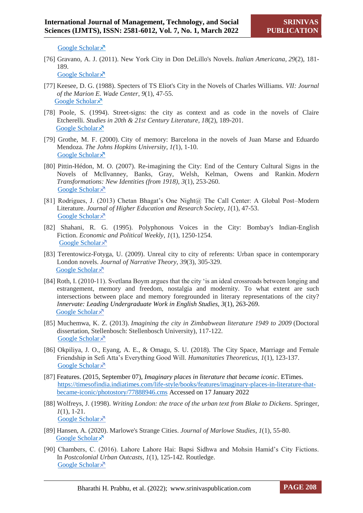[Google Scholar](https://scholar.google.com/scholar?hl=en&as_sdt=0%2C5&q=Kumar%2C+P.+%281990%29.+The+City+in+Premchand%27s+Novels.+Journal+of+South+Asian+Literature%2C+25%281%29%2C+67-75.&btnG=)  $\lambda$ 

[76] Gravano, A. J. (2011). New York City in Don DeLillo's Novels. *Italian Americana*, *29*(2), 181- 189.

[Google Scholar](https://scholar.google.com/scholar?hl=en&as_sdt=0%2C5&q=Gravano%2C+A.+J.+%282011%29.+New+York+City+in+Don+DeLillo%27s+Novels.+Italian+Americana%2C+29%282%29%2C+181-189.&btnG=) ×

- [77] Keesee, D. G. (1988). Specters of TS Eliot's City in the Novels of Charles Williams. *VII: Journal of the Marion E. Wade Center*, *9*(1), 47-55. [Google Scholar](https://scholar.google.com/scholar?hl=en&as_sdt=0%2C5&q=Keesee%2C+D.+G.+%281988%29.+Specters+of+TS+Eliot%27s+City+in+the+Novels+of+Charles+Williams.+VII%3A+Journal+of+the+Marion+E.+Wade+Center%2C+47-55.&btnG=)
- [78] Poole, S. (1994). Street-signs: the city as context and as code in the novels of Claire Etcherelli. *Studies in 20th & 21st Century Literature*, *18*(2), 189-201. [Google Scholar](https://scholar.google.com/scholar?hl=en&as_sdt=0%2C5&q=Poole%2C+S.+%281994%29.+Street-signs%3A+the+city+as+context+and+as+code+in+the+novels+of+Claire+Etcherelli.+Studies+in+20th+%26+21st+Century+Literature%2C+18%282%29%2C+5&btnG=)<sup> $\lambda$ </sup>
- [79] Grothe, M. F. (2000). City of memory: Barcelona in the novels of Juan Marse and Eduardo Mendoza. *The Johns Hopkins University, 1(*1), 1-10. [Google Scholar](https://scholar.google.com/scholar?hl=en&as_sdt=0%2C5&q=Grothe%2C+M.+F.+%282000%29.+City+of+memory%3A+Barcelona+in+the+novels+of+Juan+Marse+and+Eduardo+Mendoza.+The+Johns+Hopkins+University%2C+1-10&btnG=) ×
- [80] Pittin-Hédon, M. O. (2007). Re-imagining the City: End of the Century Cultural Signs in the Novels of McIlvanney, Banks, Gray, Welsh, Kelman, Owens and Rankin. *Modern Transformations: New Identities (from 1918)*, *3*(1), 253-260. [Google Scholar](https://scholar.google.com/scholar?hl=en&as_sdt=0%2C5&q=Pittin-H%C3%A9don%2C+M.+O.+%282007%29.+Re-imagining+the+City%3A+End+of+the+Century+Cultural+Signs+in+the+Novels+of+McIlvanney%2C+Banks%2C+Gray%2C+Welsh%2C+Kelman%2C+Owens+and+Rankin.+Modern+Transformations%3A+New+Identities+%28from+1918%29%2C+3%2C+253-260.&btnG=) ×
- [81] Rodrigues, J. (2013) Chetan Bhagat's One Night@ The Call Center: A Global Post–Modern Literature. *Journal of Higher Education and Research Society*, *1*(1), 47-53. [Google Scholar](https://scholar.google.com/scholar?hl=en&as_sdt=0%2C5&q=Rodrigues%2C+J.+%282013%29+Chetan+Bhagat%E2%80%99s+One+Night%40+The+Call+Center%3A+A+Global+Post%E2%80%93ModernLiterature.+Journal+of+Higher+Education+and+Research+Society%2C+1%281%29%2C+47-53&btnG=) ×
- [82] Shahani, R. G. (1995). Polyphonous Voices in the City: Bombay's Indian-English Fiction. *Economic and Political Weekly*, *1*(1), 1250-1254. [Google Scholar](https://scholar.google.com/scholar?hl=en&as_sdt=0%2C5&q=Shahani%2C+R.+G.+%281995%29.+Polyphonous+Voices+in+the+City%3A+Bombay%27s+Indian-English+Fiction.+Economic+and+Political+Weekly%2C+1250-1254.&btnG=) ×
- [83] Terentowicz-Fotyga, U. (2009). Unreal city to city of referents: Urban space in contemporary London novels. *Journal of Narrative Theory*, *39*(3), 305-329. [Google Scholar](https://scholar.google.com/scholar?hl=en&as_sdt=0%2C5&q=Terentowicz-Fotyga%2C+U.+%282009%29.+Unreal+city+to+city+of+referents%3A+Urban+space+in+contemporary+London+novels.+Journal+of+Narrative+Theory%2C+39%283%29%2C+305-329.&btnG=) ×
- [84] Roth, I. (2010-11). Svetlana Boym argues that the city 'is an ideal crossroads between longing and estrangement, memory and freedom, nostalgia and modernity. To what extent are such intersections between place and memory foregrounded in literary representations of the city? *Innervate: Leading Undergraduate Work in English Studies, 3*(1), 263-269. [Google Scholar](https://scholar.google.com/scholar?hl=en&as_sdt=0%2C5&q=Roth%2C+I.+%282010-11%29.+Svetlana+Boym+argues+that+the+city+%E2%80%98is+an+ideal+crossroads+between+longing+and+estrangement%2C+memory+and+freedom%2C+nostalgia+and+modernity.%E2%80%99To+what+extent+are+such+intersections+between+place+and+memory+foregrounded+in+literary+representations+of+the+city%3F+Innervate%3A+Leading+Undergraduate+Work+in+English+Studies%2C+3%2C+263-269.&btnG=) ×
- [85] Muchemwa, K. Z. (2013). *Imagining the city in Zimbabwean literature 1949 to 2009* (Doctoral dissertation, Stellenbosch: Stellenbosch University), 117-122. [Google Scholar](https://scholar.google.com/scholar?q=Muchemwa,+K.+Z.+(2013).+Imagining+the+city+in+Zimbabwean+literature+1949+to+2009+(Doctoral+dissertation,+Stellenbosch:+Stellenbosch+University),+117-122&hl=en&as_sdt=0,5)
- [86] Okpiliya, J. O., Eyang, A. E., & Omagu, S. U. (2018). The City Space, Marriage and Female Friendship in Sefi Atta's Everything Good Will. *Humanitaties Theoreticus*, *1*(1), 123-137. [Google Scholar](https://scholar.google.com/scholar?hl=en&as_sdt=0%2C5&q=Okpiliya%2C+J.+O.%2C+Eyang%2C+A.+E.%2C+%26+Omagu%2C+S.+U.+%282018%29.+The+City+Space%2C+Marriage+and+Female+Friendship+in+Sefi+Atta%E2%80%99s+Everything+Good+Will.+Humanitaties+Theoreticus%2C+1%281%29%2C+123-137&btnG=) ×
- [87] Features. (2015, September 07), *Imaginary places in literature that became iconic*. ETimes. [https://timesofindia.indiatimes.com/life-style/books/features/imaginary-places-in-literature-that](https://timesofindia.indiatimes.com/life-style/books/features/imaginary-places-in-literature-that-became-iconic/photostory/77888946.cms)[became-iconic/photostory/77888946.cms](https://timesofindia.indiatimes.com/life-style/books/features/imaginary-places-in-literature-that-became-iconic/photostory/77888946.cms) Accessed on 17 January 2022
- [88] Wolfreys, J. (1998). *Writing London: the trace of the urban text from Blake to Dickens*. Springer, *1*(1), 1-21. [Google Scholar](https://scholar.google.com/scholar?hl=en&as_sdt=0%2C5&q=Wolfreys%2C+J.+%281998%29.+Writing+London%3A+the+trace+of+the+urban+text+from+Blake+to+Dickens.+Springer%2C+1-21&btnG=) ×
- [89] Hansen, A. (2020). Marlowe's Strange Cities. *Journal of Marlowe Studies*, *1*(1), 55-80. [Google Scholar](https://scholar.google.com/scholar?hl=en&as_sdt=0%2C5&q=Hansen%2C+A.+%282020%29.+Marlowe%27s+Strange+Cities.+Journal+of+Marlowe+Studies%2C+1%2C+55-80.&btnG=)<sup> $\lambda$ </sup>
- [90] Chambers, C. (2016). Lahore Lahore Hai: Bapsi Sidhwa and Mohsin Hamid's City Fictions. In *Postcolonial Urban Outcasts*, *1*(1), 125-142. Routledge. [Google Scholar](https://scholar.google.com/scholar?hl=en&as_sdt=0%2C5&q=Chambers%2C+C.+%282016%29.+Lahore+Lahore+Hai%3A+Bapsi+Sidhwa+and+Mohsin+Hamid%E2%80%99s+City+Fictions.+In+Postcolonial+Urban+Outcasts+%28pp.+125-142%29.+Routledge.+&btnG=) ×